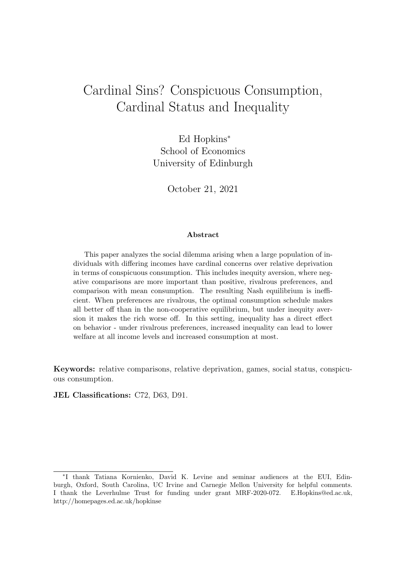# Cardinal Sins? Conspicuous Consumption, Cardinal Status and Inequality

Ed Hopkins<sup>∗</sup> School of Economics University of Edinburgh

October 21, 2021

#### Abstract

This paper analyzes the social dilemma arising when a large population of individuals with differing incomes have cardinal concerns over relative deprivation in terms of conspicuous consumption. This includes inequity aversion, where negative comparisons are more important than positive, rivalrous preferences, and comparison with mean consumption. The resulting Nash equilibrium is inefficient. When preferences are rivalrous, the optimal consumption schedule makes all better off than in the non-cooperative equilibrium, but under inequity aversion it makes the rich worse off. In this setting, inequality has a direct effect on behavior - under rivalrous preferences, increased inequality can lead to lower welfare at all income levels and increased consumption at most.

Keywords: relative comparisons, relative deprivation, games, social status, conspicuous consumption.

JEL Classifications: C72, D63, D91.

<sup>∗</sup> I thank Tatiana Kornienko, David K. Levine and seminar audiences at the EUI, Edinburgh, Oxford, South Carolina, UC Irvine and Carnegie Mellon University for helpful comments. I thank the Leverhulme Trust for funding under grant MRF-2020-072. E.Hopkins@ed.ac.uk, http://homepages.ed.ac.uk/hopkinse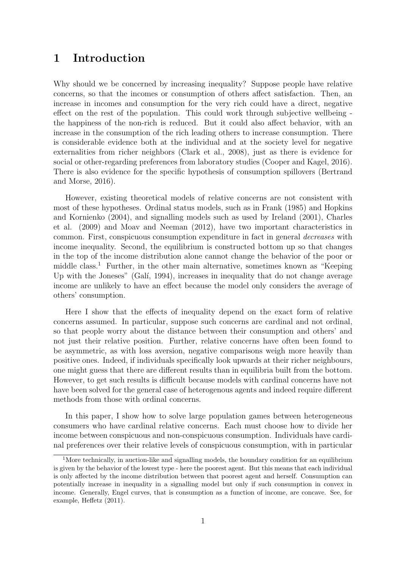### 1 Introduction

Why should we be concerned by increasing inequality? Suppose people have relative concerns, so that the incomes or consumption of others affect satisfaction. Then, an increase in incomes and consumption for the very rich could have a direct, negative effect on the rest of the population. This could work through subjective wellbeing the happiness of the non-rich is reduced. But it could also affect behavior, with an increase in the consumption of the rich leading others to increase consumption. There is considerable evidence both at the individual and at the society level for negative externalities from richer neighbors (Clark et al., 2008), just as there is evidence for social or other-regarding preferences from laboratory studies (Cooper and Kagel, 2016). There is also evidence for the specific hypothesis of consumption spillovers (Bertrand and Morse, 2016).

However, existing theoretical models of relative concerns are not consistent with most of these hypotheses. Ordinal status models, such as in Frank (1985) and Hopkins and Kornienko (2004), and signalling models such as used by Ireland (2001), Charles et al. (2009) and Moav and Neeman (2012), have two important characteristics in common. First, conspicuous consumption expenditure in fact in general *decreases* with income inequality. Second, the equilibrium is constructed bottom up so that changes in the top of the income distribution alone cannot change the behavior of the poor or middle class.<sup>1</sup> Further, in the other main alternative, sometimes known as "Keeping Up with the Joneses" (Galí, 1994), increases in inequality that do not change average income are unlikely to have an effect because the model only considers the average of others' consumption.

Here I show that the effects of inequality depend on the exact form of relative concerns assumed. In particular, suppose such concerns are cardinal and not ordinal, so that people worry about the distance between their consumption and others' and not just their relative position. Further, relative concerns have often been found to be asymmetric, as with loss aversion, negative comparisons weigh more heavily than positive ones. Indeed, if individuals specifically look upwards at their richer neighbours, one might guess that there are different results than in equilibria built from the bottom. However, to get such results is difficult because models with cardinal concerns have not have been solved for the general case of heterogenous agents and indeed require different methods from those with ordinal concerns.

In this paper, I show how to solve large population games between heterogeneous consumers who have cardinal relative concerns. Each must choose how to divide her income between conspicuous and non-conspicuous consumption. Individuals have cardinal preferences over their relative levels of conspicuous consumption, with in particular

<sup>&</sup>lt;sup>1</sup>More technically, in auction-like and signalling models, the boundary condition for an equilibrium is given by the behavior of the lowest type - here the poorest agent. But this means that each individual is only affected by the income distribution between that poorest agent and herself. Consumption can potentially increase in inequality in a signalling model but only if such consumption in convex in income. Generally, Engel curves, that is consumption as a function of income, are concave. See, for example, Heffetz (2011).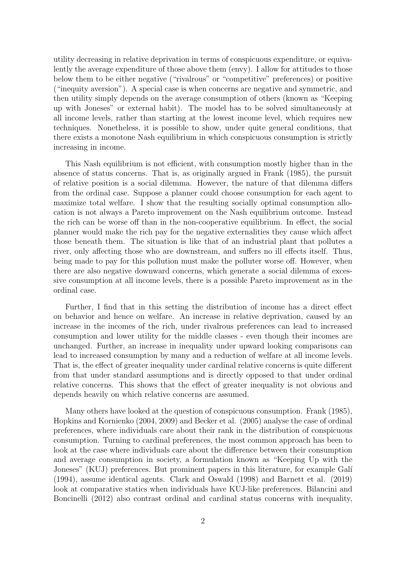utility decreasing in relative deprivation in terms of conspicuous expenditure, or equivalently the average expenditure of those above them (envy). I allow for attitudes to those below them to be either negative ("rivalrous" or "competitive" preferences) or positive ("inequity aversion"). A special case is when concerns are negative and symmetric, and then utility simply depends on the average consumption of others (known as "Keeping up with Joneses" or external habit). The model has to be solved simultaneously at all income levels, rather than starting at the lowest income level, which requires new techniques. Nonetheless, it is possible to show, under quite general conditions, that there exists a monotone Nash equilibrium in which conspicuous consumption is strictly increasing in income.

This Nash equilibrium is not efficient, with consumption mostly higher than in the absence of status concerns. That is, as originally argued in Frank (1985), the pursuit of relative position is a social dilemma. However, the nature of that dilemma differs from the ordinal case. Suppose a planner could choose consumption for each agent to maximize total welfare. I show that the resulting socially optimal consumption allocation is not always a Pareto improvement on the Nash equilibrium outcome. Instead the rich can be worse off than in the non-cooperative equilibrium. In effect, the social planner would make the rich pay for the negative externalities they cause which affect those beneath them. The situation is like that of an industrial plant that pollutes a river, only affecting those who are downstream, and suffers no ill effects itself. Thus, being made to pay for this pollution must make the polluter worse off. However, when there are also negative downward concerns, which generate a social dilemma of excessive consumption at all income levels, there is a possible Pareto improvement as in the ordinal case.

Further, I find that in this setting the distribution of income has a direct effect on behavior and hence on welfare. An increase in relative deprivation, caused by an increase in the incomes of the rich, under rivalrous preferences can lead to increased consumption and lower utility for the middle classes - even though their incomes are unchanged. Further, an increase in inequality under upward looking comparisons can lead to increased consumption by many and a reduction of welfare at all income levels. That is, the effect of greater inequality under cardinal relative concerns is quite different from that under standard assumptions and is directly opposed to that under ordinal relative concerns. This shows that the effect of greater inequality is not obvious and depends heavily on which relative concerns are assumed.

Many others have looked at the question of conspicuous consumption. Frank (1985), Hopkins and Kornienko (2004, 2009) and Becker et al. (2005) analyse the case of ordinal preferences, where individuals care about their rank in the distribution of conspicuous consumption. Turning to cardinal preferences, the most common approach has been to look at the case where individuals care about the difference between their consumption and average consumption in society, a formulation known as "Keeping Up with the Joneses" (KUJ) preferences. But prominent papers in this literature, for example Galí (1994), assume identical agents. Clark and Oswald (1998) and Barnett et al. (2019) look at comparative statics when individuals have KUJ-like preferences. Bilancini and Boncinelli (2012) also contrast ordinal and cardinal status concerns with inequality,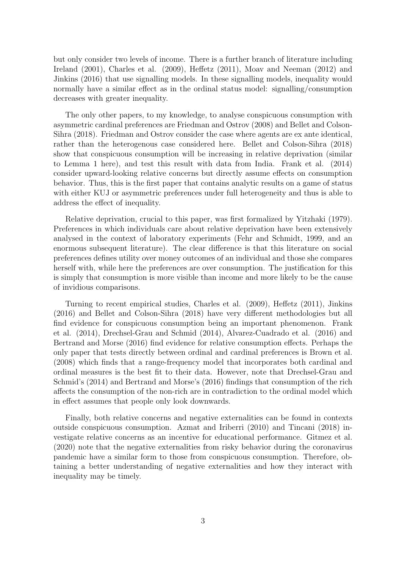but only consider two levels of income. There is a further branch of literature including Ireland (2001), Charles et al. (2009), Heffetz (2011), Moav and Neeman (2012) and Jinkins (2016) that use signalling models. In these signalling models, inequality would normally have a similar effect as in the ordinal status model: signalling/consumption decreases with greater inequality.

The only other papers, to my knowledge, to analyse conspicuous consumption with asymmetric cardinal preferences are Friedman and Ostrov (2008) and Bellet and Colson-Sihra (2018). Friedman and Ostrov consider the case where agents are ex ante identical, rather than the heterogenous case considered here. Bellet and Colson-Sihra (2018) show that conspicuous consumption will be increasing in relative deprivation (similar to Lemma 1 here), and test this result with data from India. Frank et al. (2014) consider upward-looking relative concerns but directly assume effects on consumption behavior. Thus, this is the first paper that contains analytic results on a game of status with either KUJ or asymmetric preferences under full heterogeneity and thus is able to address the effect of inequality.

Relative deprivation, crucial to this paper, was first formalized by Yitzhaki (1979). Preferences in which individuals care about relative deprivation have been extensively analysed in the context of laboratory experiments (Fehr and Schmidt, 1999, and an enormous subsequent literature). The clear difference is that this literature on social preferences defines utility over money outcomes of an individual and those she compares herself with, while here the preferences are over consumption. The justification for this is simply that consumption is more visible than income and more likely to be the cause of invidious comparisons.

Turning to recent empirical studies, Charles et al. (2009), Heffetz (2011), Jinkins (2016) and Bellet and Colson-Sihra (2018) have very different methodologies but all find evidence for conspicuous consumption being an important phenomenon. Frank et al. (2014), Drechsel-Grau and Schmid (2014), Alvarez-Cuadrado et al. (2016) and Bertrand and Morse (2016) find evidence for relative consumption effects. Perhaps the only paper that tests directly between ordinal and cardinal preferences is Brown et al. (2008) which finds that a range-frequency model that incorporates both cardinal and ordinal measures is the best fit to their data. However, note that Drechsel-Grau and Schmid's (2014) and Bertrand and Morse's (2016) findings that consumption of the rich affects the consumption of the non-rich are in contradiction to the ordinal model which in effect assumes that people only look downwards.

Finally, both relative concerns and negative externalities can be found in contexts outside conspicuous consumption. Azmat and Iriberri (2010) and Tincani (2018) investigate relative concerns as an incentive for educational performance. Gitmez et al. (2020) note that the negative externalities from risky behavior during the coronavirus pandemic have a similar form to those from conspicuous consumption. Therefore, obtaining a better understanding of negative externalities and how they interact with inequality may be timely.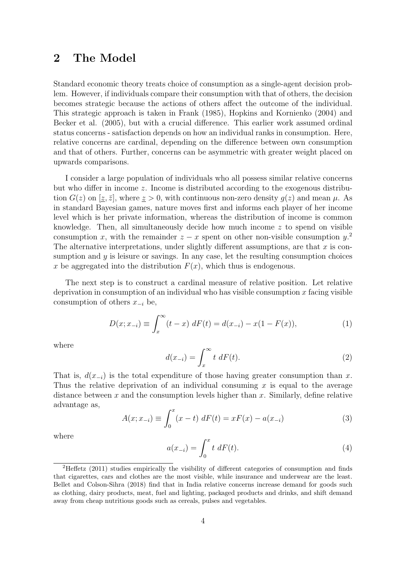### 2 The Model

Standard economic theory treats choice of consumption as a single-agent decision problem. However, if individuals compare their consumption with that of others, the decision becomes strategic because the actions of others affect the outcome of the individual. This strategic approach is taken in Frank (1985), Hopkins and Kornienko (2004) and Becker et al. (2005), but with a crucial difference. This earlier work assumed ordinal status concerns - satisfaction depends on how an individual ranks in consumption. Here, relative concerns are cardinal, depending on the difference between own consumption and that of others. Further, concerns can be asymmetric with greater weight placed on upwards comparisons.

I consider a large population of individuals who all possess similar relative concerns but who differ in income z. Income is distributed according to the exogenous distribution  $G(z)$  on  $[\underline{z}, \overline{z}]$ , where  $\underline{z} > 0$ , with continuous non-zero density  $g(z)$  and mean  $\mu$ . As in standard Bayesian games, nature moves first and informs each player of her income level which is her private information, whereas the distribution of income is common knowledge. Then, all simultaneously decide how much income z to spend on visible consumption x, with the remainder  $z - x$  spent on other non-visible consumption  $y$ <sup>2</sup> The alternative interpretations, under slightly different assumptions, are that  $x$  is consumption and  $y$  is leisure or savings. In any case, let the resulting consumption choices x be aggregated into the distribution  $F(x)$ , which thus is endogenous.

The next step is to construct a cardinal measure of relative position. Let relative deprivation in consumption of an individual who has visible consumption x facing visible consumption of others  $x_{-i}$  be,

$$
D(x; x_{-i}) \equiv \int_x^{\infty} (t - x) \, dF(t) = d(x_{-i}) - x(1 - F(x)), \tag{1}
$$

where

$$
d(x_{-i}) = \int_x^{\infty} t \, dF(t). \tag{2}
$$

That is,  $d(x_{-i})$  is the total expenditure of those having greater consumption than x. Thus the relative deprivation of an individual consuming  $x$  is equal to the average distance between x and the consumption levels higher than x. Similarly, define relative advantage as,

$$
A(x; x_{-i}) \equiv \int_0^x (x - t) \, dF(t) = xF(x) - a(x_{-i}) \tag{3}
$$

where

$$
a(x_{-i}) = \int_0^x t \, dF(t). \tag{4}
$$

<sup>2</sup>Heffetz (2011) studies empirically the visibility of different categories of consumption and finds that cigarettes, cars and clothes are the most visible, while insurance and underwear are the least. Bellet and Colson-Sihra (2018) find that in India relative concerns increase demand for goods such as clothing, dairy products, meat, fuel and lighting, packaged products and drinks, and shift demand away from cheap nutritious goods such as cereals, pulses and vegetables.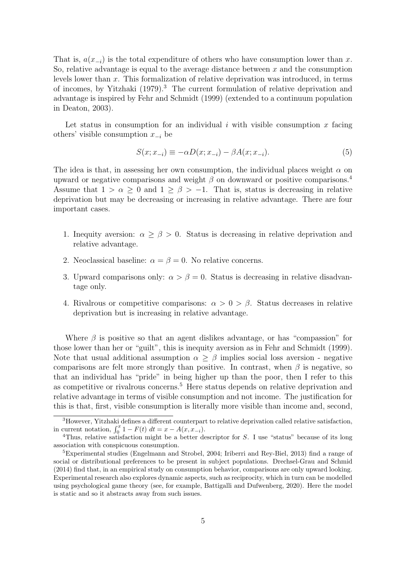That is,  $a(x_{-i})$  is the total expenditure of others who have consumption lower than x. So, relative advantage is equal to the average distance between  $x$  and the consumption levels lower than  $x$ . This formalization of relative deprivation was introduced, in terms of incomes, by Yitzhaki (1979).<sup>3</sup> The current formulation of relative deprivation and advantage is inspired by Fehr and Schmidt (1999) (extended to a continuum population in Deaton, 2003).

Let status in consumption for an individual i with visible consumption x facing others' visible consumption  $x_{-i}$  be

$$
S(x; x_{-i}) \equiv -\alpha D(x; x_{-i}) - \beta A(x; x_{-i}).\tag{5}
$$

The idea is that, in assessing her own consumption, the individual places weight  $\alpha$  on upward or negative comparisons and weight  $\beta$  on downward or positive comparisons.<sup>4</sup> Assume that  $1 > \alpha \geq 0$  and  $1 \geq \beta > -1$ . That is, status is decreasing in relative deprivation but may be decreasing or increasing in relative advantage. There are four important cases.

- 1. Inequity aversion:  $\alpha \geq \beta > 0$ . Status is decreasing in relative deprivation and relative advantage.
- 2. Neoclassical baseline:  $\alpha = \beta = 0$ . No relative concerns.
- 3. Upward comparisons only:  $\alpha > \beta = 0$ . Status is decreasing in relative disadvantage only.
- 4. Rivalrous or competitive comparisons:  $\alpha > 0 > \beta$ . Status decreases in relative deprivation but is increasing in relative advantage.

Where  $\beta$  is positive so that an agent dislikes advantage, or has "compassion" for those lower than her or "guilt", this is inequity aversion as in Fehr and Schmidt (1999). Note that usual additional assumption  $\alpha > \beta$  implies social loss aversion - negative comparisons are felt more strongly than positive. In contrast, when  $\beta$  is negative, so that an individual has "pride" in being higher up than the poor, then I refer to this as competitive or rivalrous concerns.<sup>5</sup> Here status depends on relative deprivation and relative advantage in terms of visible consumption and not income. The justification for this is that, first, visible consumption is literally more visible than income and, second,

<sup>3</sup>However, Yitzhaki defines a different counterpart to relative deprivation called relative satisfaction, in current notation,  $\int_0^x 1 - F(t) dt = x - A(x, x_{-i}).$ 

<sup>&</sup>lt;sup>4</sup>Thus, relative satisfaction might be a better descriptor for S. I use "status" because of its long association with conspicuous consumption.

<sup>5</sup>Experimental studies (Engelmann and Strobel, 2004; Iriberri and Rey-Biel, 2013) find a range of social or distributional preferences to be present in subject populations. Drechsel-Grau and Schmid (2014) find that, in an empirical study on consumption behavior, comparisons are only upward looking. Experimental research also explores dynamic aspects, such as reciprocity, which in turn can be modelled using psychological game theory (see, for example, Battigalli and Dufwenberg, 2020). Here the model is static and so it abstracts away from such issues.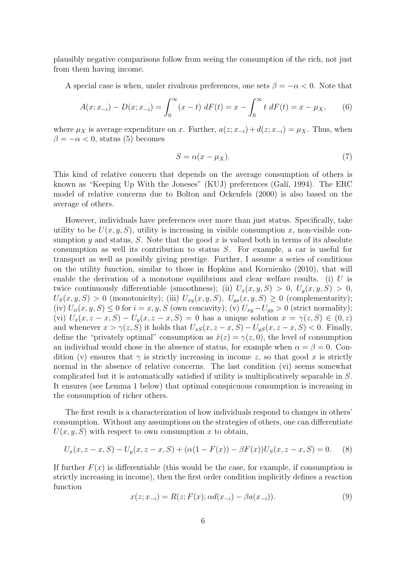plausibly negative comparisons follow from seeing the consumption of the rich, not just from them having income.

A special case is when, under rivalrous preferences, one sets  $\beta = -\alpha < 0$ . Note that

$$
A(x; x_{-i}) - D(x; x_{-i}) = \int_0^\infty (x - t) \, dF(t) = x - \int_0^\infty t \, dF(t) = x - \mu_X,\tag{6}
$$

where  $\mu_X$  is average expenditure on x. Further,  $a(z; x_{-i}) + d(z; x_{-i}) = \mu_X$ . Thus, when  $\beta = -\alpha < 0$ , status (5) becomes

$$
S = \alpha (x - \mu_X). \tag{7}
$$

This kind of relative concern that depends on the average consumption of others is known as "Keeping Up With the Joneses" (KUJ) preferences (Galí, 1994). The ERC model of relative concerns due to Bolton and Ockenfels (2000) is also based on the average of others.

However, individuals have preferences over more than just status. Specifically, take utility to be  $U(x, y, S)$ , utility is increasing in visible consumption x, non-visible consumption  $\gamma$  and status, S. Note that the good x is valued both in terms of its absolute consumption as well its contribution to status S. For example, a car is useful for transport as well as possibly giving prestige. Further, I assume a series of conditions on the utility function, similar to those in Hopkins and Kornienko (2010), that will enable the derivation of a monotone equilibrium and clear welfare results. (i)  $U$  is twice continuously differentiable (smoothness); (ii)  $U_x(x, y, S) > 0$ ,  $U_y(x, y, S) > 0$ ,  $U_S(x, y, S) > 0$  (monotonicity); (iii)  $U_{xy}(x, y, S)$ ,  $U_{ys}(x, y, S) \geq 0$  (complementarity); (iv)  $U_{ii}(x, y, S) \leq 0$  for  $i = x, y, S$  (own concavity); (v)  $U_{xy} - U_{yy} > 0$  (strict normality); (vi)  $U_x(x, z-x, S) - U_y(x, z-x, S) = 0$  has a unique solution  $x = \gamma(z, S) \in (0, z)$ and whenever  $x > \gamma(z, S)$  it holds that  $U_{xS}(x, z-x, S) - U_{yS}(x, z-x, S) < 0$ . Finally, define the "privately optimal" consumption as  $\hat{x}(z) = \gamma(z, 0)$ , the level of consumption an individual would chose in the absence of status, for example when  $\alpha = \beta = 0$ . Condition (v) ensures that  $\gamma$  is strictly increasing in income z, so that good x is strictly normal in the absence of relative concerns. The last condition (vi) seems somewhat complicated but it is automatically satisfied if utility is multiplicatively separable in S. It ensures (see Lemma 1 below) that optimal conspicuous consumption is increasing in the consumption of richer others.

The first result is a characterization of how individuals respond to changes in others' consumption. Without any assumptions on the strategies of others, one can differentiate  $U(x, y, S)$  with respect to own consumption x to obtain,

$$
U_x(x, z - x, S) - U_y(x, z - x, S) + (\alpha(1 - F(x)) - \beta F(x))U_S(x, z - x, S) = 0.
$$
 (8)

If further  $F(x)$  is differentiable (this would be the case, for example, if consumption is strictly increasing in income), then the first order condition implicitly defines a reaction function

$$
x(z; x_{-i}) = R(z; F(x); \alpha d(x_{-i}) - \beta a(x_{-i})).
$$
\n(9)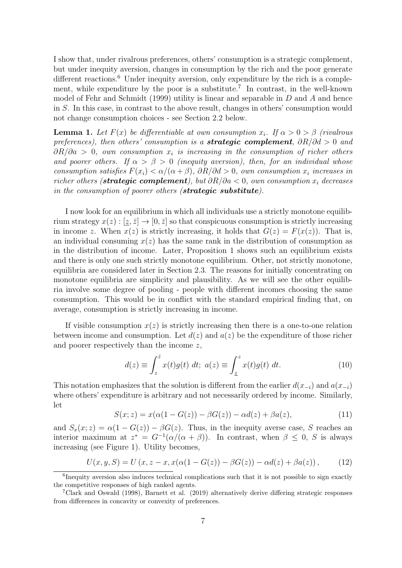I show that, under rivalrous preferences, others' consumption is a strategic complement, but under inequity aversion, changes in consumption by the rich and the poor generate different reactions.<sup>6</sup> Under inequity aversion, only expenditure by the rich is a complement, while expenditure by the poor is a substitute.<sup>7</sup> In contrast, in the well-known model of Fehr and Schmidt (1999) utility is linear and separable in D and A and hence in S. In this case, in contrast to the above result, changes in others' consumption would not change consumption choices - see Section 2.2 below.

**Lemma 1.** Let  $F(x)$  be differentiable at own consumption  $x_i$ . If  $\alpha > 0 > \beta$  (rivalrous preferences), then others' consumption is a **strategic complement**,  $\partial R/\partial d > 0$  and  $\partial R/\partial a > 0$ , own consumption  $x_i$  is increasing in the consumption of richer others and poorer others. If  $\alpha > \beta > 0$  (inequity aversion), then, for an individual whose consumption satisfies  $F(x_i) < \alpha/(\alpha + \beta)$ ,  $\partial R/\partial d > 0$ , own consumption  $x_i$  increases in richer others (strategic complement), but  $\partial R/\partial a < 0$ , own consumption  $x_i$  decreases in the consumption of poorer others (**strategic substitute**).

I now look for an equilibrium in which all individuals use a strictly monotone equilibrium strategy  $x(z) : [\underline{z}, \overline{z}] \to [0, \overline{z}]$  so that conspicuous consumption is strictly increasing in income z. When  $x(z)$  is strictly increasing, it holds that  $G(z) = F(x(z))$ . That is, an individual consuming  $x(z)$  has the same rank in the distribution of consumption as in the distribution of income. Later, Proposition 1 shows such an equilibrium exists and there is only one such strictly monotone equilibrium. Other, not strictly monotone, equilibria are considered later in Section 2.3. The reasons for initially concentrating on monotone equilibria are simplicity and plausibility. As we will see the other equilibria involve some degree of pooling - people with different incomes choosing the same consumption. This would be in conflict with the standard empirical finding that, on average, consumption is strictly increasing in income.

If visible consumption  $x(z)$  is strictly increasing then there is a one-to-one relation between income and consumption. Let  $d(z)$  and  $a(z)$  be the expenditure of those richer and poorer respectively than the income z,

$$
d(z) \equiv \int_{z}^{\bar{z}} x(t)g(t) dt; \ a(z) \equiv \int_{\underline{z}}^{z} x(t)g(t) dt.
$$
 (10)

This notation emphasizes that the solution is different from the earlier  $d(x_{-i})$  and  $a(x_{-i})$ where others' expenditure is arbitrary and not necessarily ordered by income. Similarly, let

$$
S(x; z) = x(\alpha(1 - G(z)) - \beta G(z)) - \alpha d(z) + \beta a(z), \tag{11}
$$

and  $S_x(x; z) = \alpha(1 - G(z)) - \beta G(z)$ . Thus, in the inequity averse case, S reaches an interior maximum at  $z^* = G^{-1}(\alpha/(\alpha + \beta))$ . In contrast, when  $\beta \leq 0$ , S is always increasing (see Figure 1). Utility becomes,

$$
U(x, y, S) = U(x, z - x, x(\alpha(1 - G(z)) - \beta G(z)) - \alpha d(z) + \beta a(z)),
$$
 (12)

<sup>&</sup>lt;sup>6</sup>Inequity aversion also induces technical complications such that it is not possible to sign exactly the competitive responses of high ranked agents.

<sup>7</sup>Clark and Oswald (1998), Barnett et al. (2019) alternatively derive differing strategic responses from differences in concavity or convexity of preferences.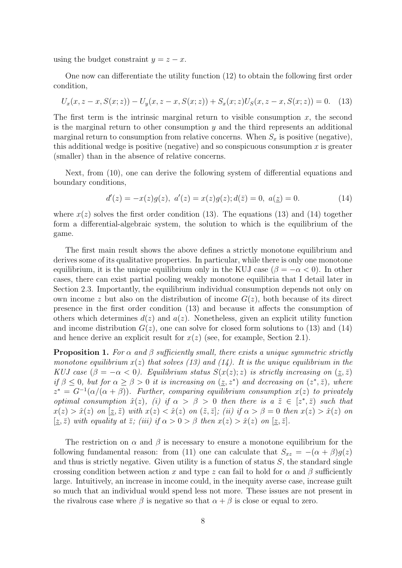using the budget constraint  $y = z - x$ .

One now can differentiate the utility function (12) to obtain the following first order condition,

$$
U_x(x, z - x, S(x; z)) - U_y(x, z - x, S(x; z)) + S_x(x; z)U_S(x, z - x, S(x; z)) = 0.
$$
 (13)

The first term is the intrinsic marginal return to visible consumption  $x$ , the second is the marginal return to other consumption y and the third represents an additional marginal return to consumption from relative concerns. When  $S_x$  is positive (negative), this additional wedge is positive (negative) and so conspicuous consumption  $x$  is greater (smaller) than in the absence of relative concerns.

Next, from (10), one can derive the following system of differential equations and boundary conditions,

$$
d'(z) = -x(z)g(z), \ a'(z) = x(z)g(z); d(\bar{z}) = 0, \ a(\bar{z}) = 0.
$$
 (14)

where  $x(z)$  solves the first order condition (13). The equations (13) and (14) together form a differential-algebraic system, the solution to which is the equilibrium of the game.

The first main result shows the above defines a strictly monotone equilibrium and derives some of its qualitative properties. In particular, while there is only one monotone equilibrium, it is the unique equilibrium only in the KUJ case ( $\beta = -\alpha < 0$ ). In other cases, there can exist partial pooling weakly monotone equilibria that I detail later in Section 2.3. Importantly, the equilibrium individual consumption depends not only on own income z but also on the distribution of income  $G(z)$ , both because of its direct presence in the first order condition (13) and because it affects the consumption of others which determines  $d(z)$  and  $a(z)$ . Nonetheless, given an explicit utility function and income distribution  $G(z)$ , one can solve for closed form solutions to (13) and (14) and hence derive an explicit result for  $x(z)$  (see, for example, Section 2.1).

**Proposition 1.** For  $\alpha$  and  $\beta$  sufficiently small, there exists a unique symmetric strictly monotone equilibrium  $x(z)$  that solves (13) and (14). It is the unique equilibrium in the KUJ case  $(\beta = -\alpha < 0)$ . Equilibrium status  $S(x(z); z)$  is strictly increasing on  $(z, \bar{z})$ if  $\beta \leq 0$ , but for  $\alpha \geq \beta > 0$  it is increasing on  $(z, z^*)$  and decreasing on  $(z^*, \bar{z})$ , where  $z^* = G^{-1}(\alpha/(\alpha + \beta))$ . Further, comparing equilibrium consumption  $x(z)$  to privately optimal consumption  $\hat{x}(z)$ , (i) if  $\alpha > \beta > 0$  then there is  $a \; \tilde{z} \in [z^*, \bar{z})$  such that  $x(z) > \hat{x}(z)$  on  $[\underline{z}, \tilde{z})$  with  $x(z) < \hat{x}(z)$  on  $(\tilde{z}, \bar{z}]$ ; (ii) if  $\alpha > \beta = 0$  then  $x(z) > \hat{x}(z)$  on  $[\underline{z}, \overline{z})$  with equality at  $\overline{z}$ ; (iii) if  $\alpha > 0 > \beta$  then  $x(z) > \hat{x}(z)$  on  $[\underline{z}, \overline{z}]$ .

The restriction on  $\alpha$  and  $\beta$  is necessary to ensure a monotone equilibrium for the following fundamental reason: from (11) one can calculate that  $S_{xz} = -(\alpha + \beta)g(z)$ and thus is strictly negative. Given utility is a function of status  $S$ , the standard single crossing condition between action x and type z can fail to hold for  $\alpha$  and  $\beta$  sufficiently large. Intuitively, an increase in income could, in the inequity averse case, increase guilt so much that an individual would spend less not more. These issues are not present in the rivalrous case where  $\beta$  is negative so that  $\alpha + \beta$  is close or equal to zero.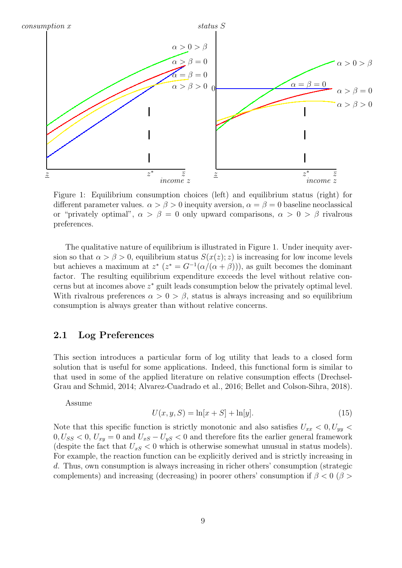

Figure 1: Equilibrium consumption choices (left) and equilibrium status (right) for different parameter values.  $\alpha > \beta > 0$  inequity aversion,  $\alpha = \beta = 0$  baseline neoclassical or "privately optimal",  $\alpha > \beta = 0$  only upward comparisons,  $\alpha > 0 > \beta$  rivalrous preferences.

The qualitative nature of equilibrium is illustrated in Figure 1. Under inequity aversion so that  $\alpha > \beta > 0$ , equilibrium status  $S(x(z); z)$  is increasing for low income levels but achieves a maximum at  $z^*$   $(z^* = G^{-1}(\alpha/(\alpha + \beta)))$ , as guilt becomes the dominant factor. The resulting equilibrium expenditure exceeds the level without relative concerns but at incomes above z <sup>∗</sup> guilt leads consumption below the privately optimal level. With rivalrous preferences  $\alpha > 0 > \beta$ , status is always increasing and so equilibrium consumption is always greater than without relative concerns.

### 2.1 Log Preferences

This section introduces a particular form of log utility that leads to a closed form solution that is useful for some applications. Indeed, this functional form is similar to that used in some of the applied literature on relative consumption effects (Drechsel-Grau and Schmid, 2014; Alvarez-Cuadrado et al., 2016; Bellet and Colson-Sihra, 2018).

Assume

$$
U(x, y, S) = \ln[x + S] + \ln[y].
$$
\n(15)

Note that this specific function is strictly monotonic and also satisfies  $U_{xx} < 0, U_{yy} <$  $0, U_{SS} < 0, U_{xy} = 0$  and  $U_{xS} - U_{yS} < 0$  and therefore fits the earlier general framework (despite the fact that  $U_{xS} < 0$  which is otherwise somewhat unusual in status models). For example, the reaction function can be explicitly derived and is strictly increasing in d. Thus, own consumption is always increasing in richer others' consumption (strategic complements) and increasing (decreasing) in poorer others' consumption if  $\beta < 0$  ( $\beta >$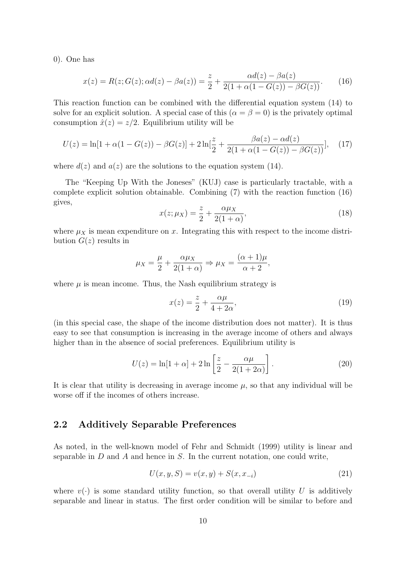0). One has

$$
x(z) = R(z; G(z); \alpha d(z) - \beta a(z)) = \frac{z}{2} + \frac{\alpha d(z) - \beta a(z)}{2(1 + \alpha(1 - G(z)) - \beta G(z))}.
$$
 (16)

This reaction function can be combined with the differential equation system (14) to solve for an explicit solution. A special case of this  $(\alpha = \beta = 0)$  is the privately optimal consumption  $\hat{x}(z) = z/2$ . Equilibrium utility will be

$$
U(z) = \ln[1 + \alpha(1 - G(z)) - \beta G(z)] + 2\ln[\frac{z}{2} + \frac{\beta a(z) - \alpha d(z)}{2(1 + \alpha(1 - G(z)) - \beta G(z))}],
$$
 (17)

where  $d(z)$  and  $a(z)$  are the solutions to the equation system (14).

The "Keeping Up With the Joneses" (KUJ) case is particularly tractable, with a complete explicit solution obtainable. Combining (7) with the reaction function (16) gives,

$$
x(z; \mu_X) = \frac{z}{2} + \frac{\alpha \mu_X}{2(1+\alpha)},\tag{18}
$$

where  $\mu_X$  is mean expenditure on x. Integrating this with respect to the income distribution  $G(z)$  results in

$$
\mu_X = \frac{\mu}{2} + \frac{\alpha \mu_X}{2(1+\alpha)} \Rightarrow \mu_X = \frac{(\alpha+1)\mu}{\alpha+2},
$$

where  $\mu$  is mean income. Thus, the Nash equilibrium strategy is

$$
x(z) = \frac{z}{2} + \frac{\alpha \mu}{4 + 2\alpha},\tag{19}
$$

(in this special case, the shape of the income distribution does not matter). It is thus easy to see that consumption is increasing in the average income of others and always higher than in the absence of social preferences. Equilibrium utility is

$$
U(z) = \ln[1 + \alpha] + 2\ln\left[\frac{z}{2} - \frac{\alpha\mu}{2(1 + 2\alpha)}\right].
$$
 (20)

It is clear that utility is decreasing in average income  $\mu$ , so that any individual will be worse off if the incomes of others increase.

### 2.2 Additively Separable Preferences

As noted, in the well-known model of Fehr and Schmidt (1999) utility is linear and separable in  $D$  and  $A$  and hence in  $S$ . In the current notation, one could write,

$$
U(x, y, S) = v(x, y) + S(x, x_{-i})
$$
\n(21)

where  $v(\cdot)$  is some standard utility function, so that overall utility U is additively separable and linear in status. The first order condition will be similar to before and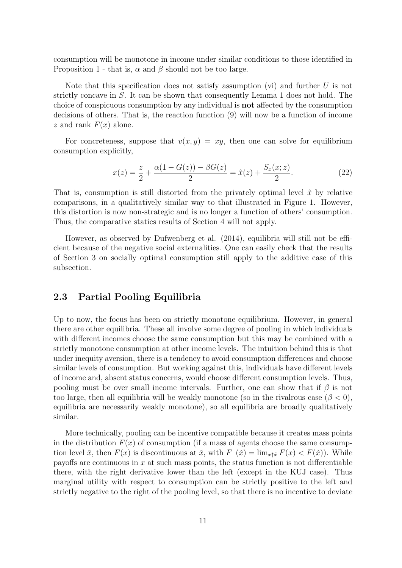consumption will be monotone in income under similar conditions to those identified in Proposition 1 - that is,  $\alpha$  and  $\beta$  should not be too large.

Note that this specification does not satisfy assumption (vi) and further  $U$  is not strictly concave in S. It can be shown that consequently Lemma 1 does not hold. The choice of conspicuous consumption by any individual is not affected by the consumption decisions of others. That is, the reaction function (9) will now be a function of income z and rank  $F(x)$  alone.

For concreteness, suppose that  $v(x, y) = xy$ , then one can solve for equilibrium consumption explicitly,

$$
x(z) = \frac{z}{2} + \frac{\alpha(1 - G(z)) - \beta G(z)}{2} = \hat{x}(z) + \frac{S_x(x; z)}{2}.
$$
 (22)

That is, consumption is still distorted from the privately optimal level  $\hat{x}$  by relative comparisons, in a qualitatively similar way to that illustrated in Figure 1. However, this distortion is now non-strategic and is no longer a function of others' consumption. Thus, the comparative statics results of Section 4 will not apply.

However, as observed by Dufwenberg et al. (2014), equilibria will still not be efficient because of the negative social externalities. One can easily check that the results of Section 3 on socially optimal consumption still apply to the additive case of this subsection.

#### 2.3 Partial Pooling Equilibria

Up to now, the focus has been on strictly monotone equilibrium. However, in general there are other equilibria. These all involve some degree of pooling in which individuals with different incomes choose the same consumption but this may be combined with a strictly monotone consumption at other income levels. The intuition behind this is that under inequity aversion, there is a tendency to avoid consumption differences and choose similar levels of consumption. But working against this, individuals have different levels of income and, absent status concerns, would choose different consumption levels. Thus, pooling must be over small income intervals. Further, one can show that if  $\beta$  is not too large, then all equilibria will be weakly monotone (so in the rivalrous case  $(\beta < 0)$ , equilibria are necessarily weakly monotone), so all equilibria are broadly qualitatively similar.

More technically, pooling can be incentive compatible because it creates mass points in the distribution  $F(x)$  of consumption (if a mass of agents choose the same consumption level  $\tilde{x}$ , then  $F(x)$  is discontinuous at  $\tilde{x}$ , with  $F_-(\tilde{x}) = \lim_{x \uparrow \tilde{x}} F(x) < F(\tilde{x})$ . While payoffs are continuous in  $x$  at such mass points, the status function is not differentiable there, with the right derivative lower than the left (except in the KUJ case). Thus marginal utility with respect to consumption can be strictly positive to the left and strictly negative to the right of the pooling level, so that there is no incentive to deviate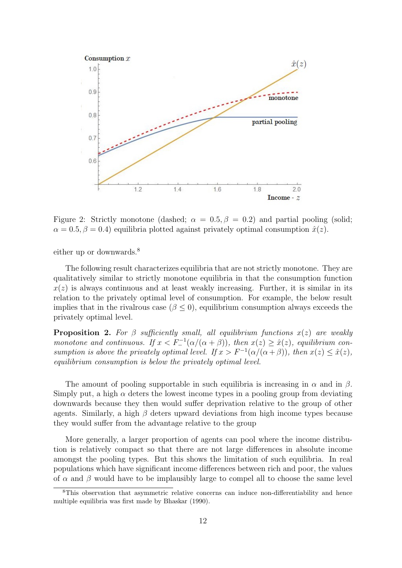

Figure 2: Strictly monotone (dashed;  $\alpha = 0.5, \beta = 0.2$ ) and partial pooling (solid;  $\alpha = 0.5, \beta = 0.4$ ) equilibria plotted against privately optimal consumption  $\hat{x}(z)$ .

either up or downwards.<sup>8</sup>

The following result characterizes equilibria that are not strictly monotone. They are qualitatively similar to strictly monotone equilibria in that the consumption function  $x(z)$  is always continuous and at least weakly increasing. Further, it is similar in its relation to the privately optimal level of consumption. For example, the below result implies that in the rivalrous case  $(\beta \leq 0)$ , equilibrium consumption always exceeds the privately optimal level.

**Proposition 2.** For  $\beta$  sufficiently small, all equilibrium functions  $x(z)$  are weakly monotone and continuous. If  $x < F^{-1}(\alpha/(\alpha + \beta))$ , then  $x(z) \geq \hat{x}(z)$ , equilibrium consumption is above the privately optimal level. If  $x > F^{-1}(\alpha/(\alpha+\beta))$ , then  $x(z) \leq \hat{x}(z)$ , equilibrium consumption is below the privately optimal level.

The amount of pooling supportable in such equilibria is increasing in  $\alpha$  and in  $\beta$ . Simply put, a high  $\alpha$  deters the lowest income types in a pooling group from deviating downwards because they then would suffer deprivation relative to the group of other agents. Similarly, a high  $\beta$  deters upward deviations from high income types because they would suffer from the advantage relative to the group

More generally, a larger proportion of agents can pool where the income distribution is relatively compact so that there are not large differences in absolute income amongst the pooling types. But this shows the limitation of such equilibria. In real populations which have significant income differences between rich and poor, the values of  $\alpha$  and  $\beta$  would have to be implausibly large to compel all to choose the same level

<sup>&</sup>lt;sup>8</sup>This observation that asymmetric relative concerns can induce non-differentiability and hence multiple equilibria was first made by Bhaskar (1990).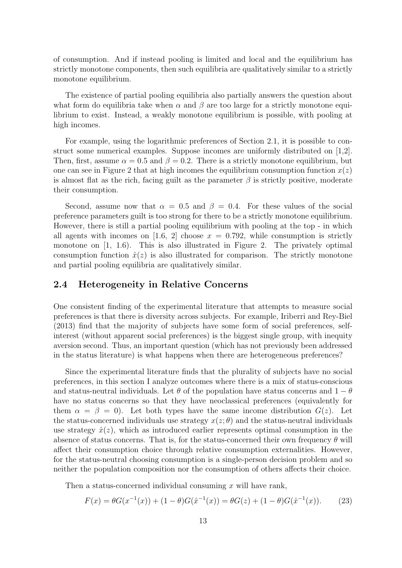of consumption. And if instead pooling is limited and local and the equilibrium has strictly monotone components, then such equilibria are qualitatively similar to a strictly monotone equilibrium.

The existence of partial pooling equilibria also partially answers the question about what form do equilibria take when  $\alpha$  and  $\beta$  are too large for a strictly monotone equilibrium to exist. Instead, a weakly monotone equilibrium is possible, with pooling at high incomes.

For example, using the logarithmic preferences of Section 2.1, it is possible to construct some numerical examples. Suppose incomes are uniformly distributed on [1,2]. Then, first, assume  $\alpha = 0.5$  and  $\beta = 0.2$ . There is a strictly monotone equilibrium, but one can see in Figure 2 that at high incomes the equilibrium consumption function  $x(z)$ is almost flat as the rich, facing guilt as the parameter  $\beta$  is strictly positive, moderate their consumption.

Second, assume now that  $\alpha = 0.5$  and  $\beta = 0.4$ . For these values of the social preference parameters guilt is too strong for there to be a strictly monotone equilibrium. However, there is still a partial pooling equilibrium with pooling at the top - in which all agents with incomes on [1.6, 2] choose  $x = 0.792$ , while consumption is strictly monotone on  $[1, 1.6]$ . This is also illustrated in Figure 2. The privately optimal consumption function  $\hat{x}(z)$  is also illustrated for comparison. The strictly monotone and partial pooling equilibria are qualitatively similar.

#### 2.4 Heterogeneity in Relative Concerns

One consistent finding of the experimental literature that attempts to measure social preferences is that there is diversity across subjects. For example, Iriberri and Rey-Biel (2013) find that the majority of subjects have some form of social preferences, selfinterest (without apparent social preferences) is the biggest single group, with inequity aversion second. Thus, an important question (which has not previously been addressed in the status literature) is what happens when there are heterogeneous preferences?

Since the experimental literature finds that the plurality of subjects have no social preferences, in this section I analyze outcomes where there is a mix of status-conscious and status-neutral individuals. Let  $\theta$  of the population have status concerns and  $1 - \theta$ have no status concerns so that they have neoclassical preferences (equivalently for them  $\alpha = \beta = 0$ . Let both types have the same income distribution  $G(z)$ . Let the status-concerned individuals use strategy  $x(z; \theta)$  and the status-neutral individuals use strategy  $\hat{x}(z)$ , which as introduced earlier represents optimal consumption in the absence of status concerns. That is, for the status-concerned their own frequency  $\theta$  will affect their consumption choice through relative consumption externalities. However, for the status-neutral choosing consumption is a single-person decision problem and so neither the population composition nor the consumption of others affects their choice.

Then a status-concerned individual consuming  $x$  will have rank,

$$
F(x) = \theta G(x^{-1}(x)) + (1 - \theta)G(\hat{x}^{-1}(x)) = \theta G(z) + (1 - \theta)G(\hat{x}^{-1}(x)).
$$
 (23)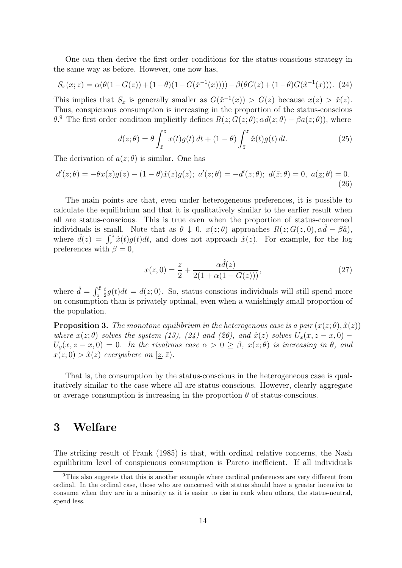One can then derive the first order conditions for the status-conscious strategy in the same way as before. However, one now has,

$$
S_x(x; z) = \alpha(\theta(1 - G(z)) + (1 - \theta)(1 - G(\hat{x}^{-1}(x)))) - \beta(\theta G(z) + (1 - \theta)G(\hat{x}^{-1}(x))). (24)
$$

This implies that  $S_x$  is generally smaller as  $G(\hat{x}^{-1}(x)) > G(z)$  because  $x(z) > \hat{x}(z)$ . Thus, conspicuous consumption is increasing in the proportion of the status-conscious  $\theta$ . The first order condition implicitly defines  $R(z; G(z; \theta); \alpha d(z; \theta) - \beta a(z; \theta))$ , where

$$
d(z; \theta) = \theta \int_{\bar{z}}^{z} x(t)g(t) dt + (1 - \theta) \int_{\bar{z}}^{z} \hat{x}(t)g(t) dt.
$$
 (25)

The derivation of  $a(z; \theta)$  is similar. One has

$$
d'(z; \theta) = -\theta x(z)g(z) - (1 - \theta)\hat{x}(z)g(z); \ a'(z; \theta) = -d'(z; \theta); \ d(\bar{z}; \theta) = 0, \ a(\underline{z}; \theta) = 0.
$$
\n(26)

The main points are that, even under heterogeneous preferences, it is possible to calculate the equilibrium and that it is qualitatively similar to the earlier result when all are status-conscious. This is true even when the proportion of status-concerned individuals is small. Note that as  $\theta \downarrow 0$ ,  $x(z; \theta)$  approaches  $R(z; G(z, 0), \alpha d - \beta \hat{a})$ , where  $\hat{d}(z) = \int_z^{\bar{z}} \hat{x}(t)g(t)dt$ , and does not approach  $\hat{x}(z)$ . For example, for the log preferences with  $\beta = 0$ ,

$$
x(z,0) = \frac{z}{2} + \frac{\alpha \hat{d}(z)}{2(1 + \alpha(1 - G(z)))},
$$
\n(27)

where  $\hat{d} = \int_{z}^{\bar{z}}$ t  $\frac{t}{2}g(t)dt = d(z;0)$ . So, status-conscious individuals will still spend more on consumption than is privately optimal, even when a vanishingly small proportion of the population.

**Proposition 3.** The monotone equilibrium in the heterogenous case is a pair  $(x(z; \theta), \hat{x}(z))$ where  $x(z; \theta)$  solves the system (13), (24) and (26), and  $\hat{x}(z)$  solves  $U_x(x, z - x, 0)$  –  $U_y(x, z-x, 0) = 0$ . In the rivalrous case  $\alpha > 0 \ge \beta$ ,  $x(z; \theta)$  is increasing in  $\theta$ , and  $x(z; 0) > \hat{x}(z)$  everywhere on  $[\underline{z}, \overline{z})$ .

That is, the consumption by the status-conscious in the heterogeneous case is qualitatively similar to the case where all are status-conscious. However, clearly aggregate or average consumption is increasing in the proportion  $\theta$  of status-conscious.

### 3 Welfare

The striking result of Frank (1985) is that, with ordinal relative concerns, the Nash equilibrium level of conspicuous consumption is Pareto inefficient. If all individuals

<sup>9</sup>This also suggests that this is another example where cardinal preferences are very different from ordinal. In the ordinal case, those who are concerned with status should have a greater incentive to consume when they are in a minority as it is easier to rise in rank when others, the status-neutral, spend less.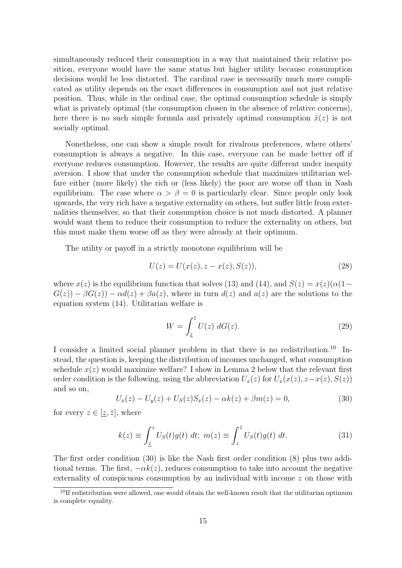simultaneously reduced their consumption in a way that maintained their relative position, everyone would have the same status but higher utility because consumption decisions would be less distorted. The cardinal case is necessarily much more complicated as utility depends on the exact differences in consumption and not just relative position. Thus, while in the ordinal case, the optimal consumption schedule is simply what is privately optimal (the consumption chosen in the absence of relative concerns), here there is no such simple formula and privately optimal consumption  $\hat{x}(z)$  is not socially optimal.

Nonetheless, one can show a simple result for rivalrous preferences, where others' consumption is always a negative. In this case, everyone can be made better off if everyone reduces consumption. However, the results are quite different under inequity aversion. I show that under the consumption schedule that maximizes utilitarian welfare either (more likely) the rich or (less likely) the poor are worse off than in Nash equilibrium. The case where  $\alpha > \beta = 0$  is particularly clear. Since people only look upwards, the very rich have a negative externality on others, but suffer little from externalities themselves, so that their consumption choice is not much distorted. A planner would want them to reduce their consumption to reduce the externality on others, but this must make them worse off as they were already at their optimum.

The utility or payoff in a strictly monotone equilibrium will be

$$
U(z) = U(x(z), z - x(z), S(z)),
$$
\n(28)

where  $x(z)$  is the equilibrium function that solves (13) and (14), and  $S(z) = x(z)(\alpha(1-\alpha))$  $G(z) - \beta G(z) - \alpha d(z) + \beta a(z)$ , where in turn  $d(z)$  and  $a(z)$  are the solutions to the equation system (14). Utilitarian welfare is

$$
W = \int_{\underline{z}}^{\overline{z}} U(z) \, dG(z). \tag{29}
$$

I consider a limited social planner problem in that there is no redistribution.<sup>10</sup> Instead, the question is, keeping the distribution of incomes unchanged, what consumption schedule  $x(z)$  would maximize welfare? I show in Lemma 2 below that the relevant first order condition is the following, using the abbreviation  $U_x(z)$  for  $U_x(x(z), z-x(z), S(z))$ and so on,

$$
U_x(z) - U_y(z) + U_S(z)S_x(z) - \alpha k(z) + \beta m(z) = 0,
$$
\n(30)

for every  $z \in [\underline{z}, \overline{z}]$ , where

$$
k(z) \equiv \int_{\underline{z}}^{z} U_{S}(t)g(t) dt; \ m(z) \equiv \int_{z}^{\overline{z}} U_{S}(t)g(t) dt.
$$
 (31)

The first order condition (30) is like the Nash first order condition (8) plus two additional terms. The first,  $-\alpha k(z)$ , reduces consumption to take into account the negative externality of conspicuous consumption by an individual with income z on those with

 $10$ If redistribution were allowed, one would obtain the well-known result that the utilitarian optimum is complete equality.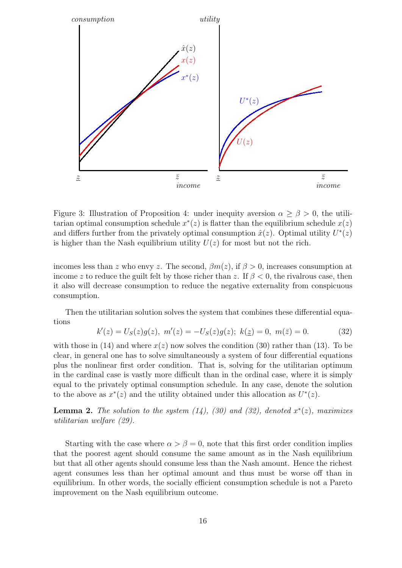

Figure 3: Illustration of Proposition 4: under inequity aversion  $\alpha \ge \beta > 0$ , the utilitarian optimal consumption schedule  $x^*(z)$  is flatter than the equilibrium schedule  $x(z)$ and differs further from the privately optimal consumption  $\hat{x}(z)$ . Optimal utility  $U^*(z)$ is higher than the Nash equilibrium utility  $U(z)$  for most but not the rich.

incomes less than z who envy z. The second,  $\beta m(z)$ , if  $\beta > 0$ , increases consumption at income z to reduce the guilt felt by those richer than z. If  $\beta < 0$ , the rivalrous case, then it also will decrease consumption to reduce the negative externality from conspicuous consumption.

Then the utilitarian solution solves the system that combines these differential equations

$$
k'(z) = U_S(z)g(z), \ m'(z) = -U_S(z)g(z); \ k(\underline{z}) = 0, \ m(\overline{z}) = 0.
$$
 (32)

with those in (14) and where  $x(z)$  now solves the condition (30) rather than (13). To be clear, in general one has to solve simultaneously a system of four differential equations plus the nonlinear first order condition. That is, solving for the utilitarian optimum in the cardinal case is vastly more difficult than in the ordinal case, where it is simply equal to the privately optimal consumption schedule. In any case, denote the solution to the above as  $x^*(z)$  and the utility obtained under this allocation as  $U^*(z)$ .

**Lemma 2.** The solution to the system  $(14)$ ,  $(30)$  and  $(32)$ , denoted  $x^*(z)$ , maximizes utilitarian welfare (29).

Starting with the case where  $\alpha > \beta = 0$ , note that this first order condition implies that the poorest agent should consume the same amount as in the Nash equilibrium but that all other agents should consume less than the Nash amount. Hence the richest agent consumes less than her optimal amount and thus must be worse off than in equilibrium. In other words, the socially efficient consumption schedule is not a Pareto improvement on the Nash equilibrium outcome.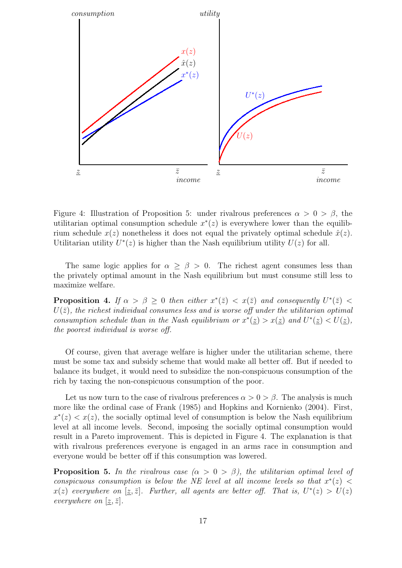

Figure 4: Illustration of Proposition 5: under rivalrous preferences  $\alpha > 0 > \beta$ , the utilitarian optimal consumption schedule  $x^*(z)$  is everywhere lower than the equilibrium schedule  $x(z)$  nonetheless it does not equal the privately optimal schedule  $\hat{x}(z)$ . Utilitarian utility  $U^*(z)$  is higher than the Nash equilibrium utility  $U(z)$  for all.

The same logic applies for  $\alpha \geq \beta > 0$ . The richest agent consumes less than the privately optimal amount in the Nash equilibrium but must consume still less to maximize welfare.

**Proposition 4.** If  $\alpha > \beta \geq 0$  then either  $x^*(\bar{z}) < x(\bar{z})$  and consequently  $U^*(\bar{z}) <$  $U(\bar{z})$ , the richest individual consumes less and is worse off under the utilitarian optimal consumption schedule than in the Nash equilibrium or  $x^*(\underline{z}) > x(\underline{z})$  and  $U^*(\underline{z}) < U(\underline{z})$ , the poorest individual is worse off.

Of course, given that average welfare is higher under the utilitarian scheme, there must be some tax and subsidy scheme that would make all better off. But if needed to balance its budget, it would need to subsidize the non-conspicuous consumption of the rich by taxing the non-conspicuous consumption of the poor.

Let us now turn to the case of rivalrous preferences  $\alpha > 0 > \beta$ . The analysis is much more like the ordinal case of Frank (1985) and Hopkins and Kornienko (2004). First,  $x^*(z) < x(z)$ , the socially optimal level of consumption is below the Nash equilibrium level at all income levels. Second, imposing the socially optimal consumption would result in a Pareto improvement. This is depicted in Figure 4. The explanation is that with rivalrous preferences everyone is engaged in an arms race in consumption and everyone would be better off if this consumption was lowered.

**Proposition 5.** In the rivalrous case  $(\alpha > 0 > \beta)$ , the utilitarian optimal level of conspicuous consumption is below the NE level at all income levels so that  $x^*(z)$  <  $x(z)$  everywhere on  $[\underline{z}, \overline{z}]$ . Further, all agents are better off. That is,  $U^*(z) > U(z)$ everywhere on  $[\underline{z}, \overline{z}]$ .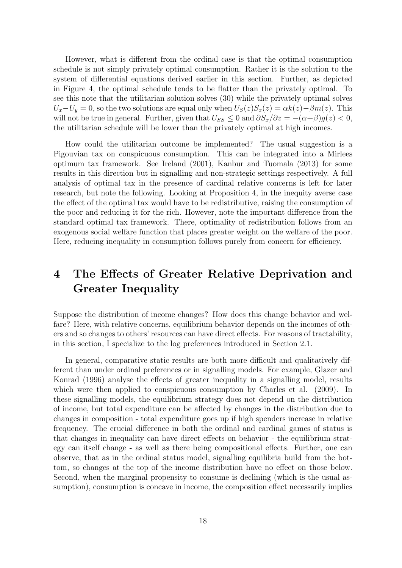However, what is different from the ordinal case is that the optimal consumption schedule is not simply privately optimal consumption. Rather it is the solution to the system of differential equations derived earlier in this section. Further, as depicted in Figure 4, the optimal schedule tends to be flatter than the privately optimal. To see this note that the utilitarian solution solves (30) while the privately optimal solves  $U_x-U_y=0$ , so the two solutions are equal only when  $U_s(z)S_x(z)=\alpha k(z)-\beta m(z)$ . This will not be true in general. Further, given that  $U_{SS} \leq 0$  and  $\partial S_x/\partial z = -(\alpha + \beta)g(z) < 0$ , the utilitarian schedule will be lower than the privately optimal at high incomes.

How could the utilitarian outcome be implemented? The usual suggestion is a Pigouvian tax on conspicuous consumption. This can be integrated into a Mirlees optimum tax framework. See Ireland (2001), Kanbur and Tuomala (2013) for some results in this direction but in signalling and non-strategic settings respectively. A full analysis of optimal tax in the presence of cardinal relative concerns is left for later research, but note the following. Looking at Proposition 4, in the inequity averse case the effect of the optimal tax would have to be redistributive, raising the consumption of the poor and reducing it for the rich. However, note the important difference from the standard optimal tax framework. There, optimality of redistribution follows from an exogenous social welfare function that places greater weight on the welfare of the poor. Here, reducing inequality in consumption follows purely from concern for efficiency.

## 4 The Effects of Greater Relative Deprivation and Greater Inequality

Suppose the distribution of income changes? How does this change behavior and welfare? Here, with relative concerns, equilibrium behavior depends on the incomes of others and so changes to others' resources can have direct effects. For reasons of tractability, in this section, I specialize to the log preferences introduced in Section 2.1.

In general, comparative static results are both more difficult and qualitatively different than under ordinal preferences or in signalling models. For example, Glazer and Konrad (1996) analyse the effects of greater inequality in a signalling model, results which were then applied to conspicuous consumption by Charles et al. (2009). In these signalling models, the equilibrium strategy does not depend on the distribution of income, but total expenditure can be affected by changes in the distribution due to changes in composition - total expenditure goes up if high spenders increase in relative frequency. The crucial difference in both the ordinal and cardinal games of status is that changes in inequality can have direct effects on behavior - the equilibrium strategy can itself change - as well as there being compositional effects. Further, one can observe, that as in the ordinal status model, signalling equilibria build from the bottom, so changes at the top of the income distribution have no effect on those below. Second, when the marginal propensity to consume is declining (which is the usual assumption), consumption is concave in income, the composition effect necessarily implies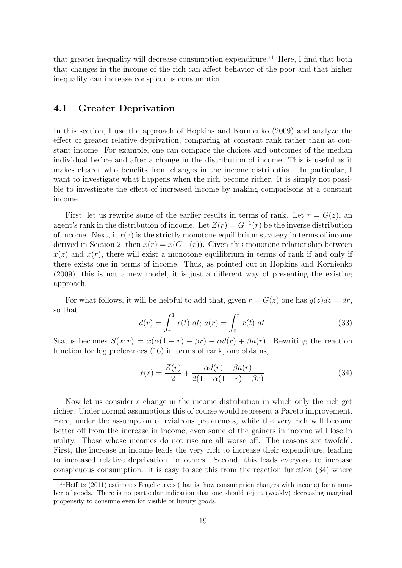that greater inequality will decrease consumption expenditure.<sup>11</sup> Here, I find that both that changes in the income of the rich can affect behavior of the poor and that higher inequality can increase conspicuous consumption.

### 4.1 Greater Deprivation

In this section, I use the approach of Hopkins and Kornienko (2009) and analyze the effect of greater relative deprivation, comparing at constant rank rather than at constant income. For example, one can compare the choices and outcomes of the median individual before and after a change in the distribution of income. This is useful as it makes clearer who benefits from changes in the income distribution. In particular, I want to investigate what happens when the rich become richer. It is simply not possible to investigate the effect of increased income by making comparisons at a constant income.

First, let us rewrite some of the earlier results in terms of rank. Let  $r = G(z)$ , and agent's rank in the distribution of income. Let  $Z(r) = G^{-1}(r)$  be the inverse distribution of income. Next, if  $x(z)$  is the strictly monotone equilibrium strategy in terms of income derived in Section 2, then  $x(r) = x(G^{-1}(r))$ . Given this monotone relationship between  $x(z)$  and  $x(r)$ , there will exist a monotone equilibrium in terms of rank if and only if there exists one in terms of income. Thus, as pointed out in Hopkins and Kornienko (2009), this is not a new model, it is just a different way of presenting the existing approach.

For what follows, it will be helpful to add that, given  $r = G(z)$  one has  $g(z)dz = dr$ , so that

$$
d(r) = \int_{r}^{1} x(t) dt; \, a(r) = \int_{0}^{r} x(t) dt. \tag{33}
$$

Status becomes  $S(x; r) = x(\alpha(1 - r) - \beta r) - \alpha d(r) + \beta a(r)$ . Rewriting the reaction function for log preferences (16) in terms of rank, one obtains,

$$
x(r) = \frac{Z(r)}{2} + \frac{\alpha d(r) - \beta a(r)}{2(1 + \alpha(1 - r) - \beta r)}.
$$
 (34)

Now let us consider a change in the income distribution in which only the rich get richer. Under normal assumptions this of course would represent a Pareto improvement. Here, under the assumption of rvialrous preferences, while the very rich will become better off from the increase in income, even some of the gainers in income will lose in utility. Those whose incomes do not rise are all worse off. The reasons are twofold. First, the increase in income leads the very rich to increase their expenditure, leading to increased relative deprivation for others. Second, this leads everyone to increase conspicuous consumption. It is easy to see this from the reaction function (34) where

 $11$ Heffetz (2011) estimates Engel curves (that is, how consumption changes with income) for a number of goods. There is no particular indication that one should reject (weakly) decreasing marginal propensity to consume even for visible or luxury goods.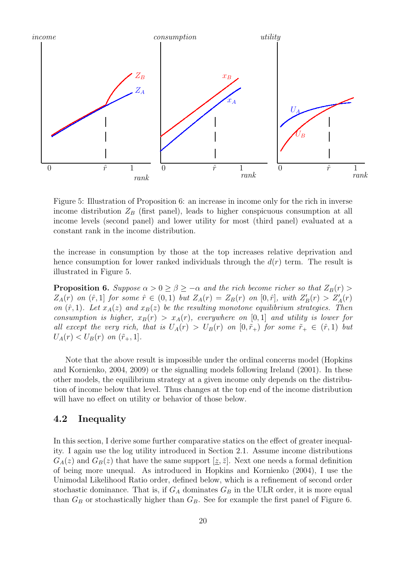

Figure 5: Illustration of Proposition 6: an increase in income only for the rich in inverse income distribution  $Z_B$  (first panel), leads to higher conspicuous consumption at all income levels (second panel) and lower utility for most (third panel) evaluated at a constant rank in the income distribution.

the increase in consumption by those at the top increases relative deprivation and hence consumption for lower ranked individuals through the  $d(r)$  term. The result is illustrated in Figure 5.

**Proposition 6.** Suppose  $\alpha > 0 \ge \beta \ge -\alpha$  and the rich become richer so that  $Z_B(r) >$  $Z_A(r)$  on  $(\hat{r},1]$  for some  $\hat{r} \in (0,1)$  but  $Z_A(r) = Z_B(r)$  on  $[0,\hat{r}],$  with  $Z'_B(r) > Z'_A(r)$ on  $(\hat{r}, 1)$ . Let  $x_A(z)$  and  $x_B(z)$  be the resulting monotone equilibrium strategies. Then consumption is higher,  $x_B(r) > x_A(r)$ , everywhere on [0,1] and utility is lower for all except the very rich, that is  $U_A(r) > U_B(r)$  on  $[0, \tilde{r}_+)$  for some  $\tilde{r}_+ \in (\hat{r}, 1)$  but  $U_A(r) < U_B(r)$  on  $(\tilde{r}_+, 1]$ .

Note that the above result is impossible under the ordinal concerns model (Hopkins and Kornienko, 2004, 2009) or the signalling models following Ireland (2001). In these other models, the equilibrium strategy at a given income only depends on the distribution of income below that level. Thus changes at the top end of the income distribution will have no effect on utility or behavior of those below.

### 4.2 Inequality

In this section, I derive some further comparative statics on the effect of greater inequality. I again use the log utility introduced in Section 2.1. Assume income distributions  $G_A(z)$  and  $G_B(z)$  that have the same support  $[z, \bar{z}]$ . Next one needs a formal definition of being more unequal. As introduced in Hopkins and Kornienko (2004), I use the Unimodal Likelihood Ratio order, defined below, which is a refinement of second order stochastic dominance. That is, if  $G_A$  dominates  $G_B$  in the ULR order, it is more equal than  $G_B$  or stochastically higher than  $G_B$ . See for example the first panel of Figure 6.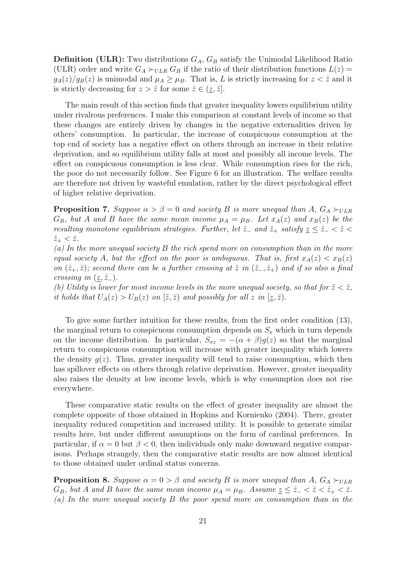**Definition (ULR):** Two distributions  $G_A$ ,  $G_B$  satisfy the Unimodal Likelihood Ratio (ULR) order and write  $G_A \succ_{ULR} G_B$  if the ratio of their distribution functions  $L(z) =$  $g_A(z)/g_B(z)$  is unimodal and  $\mu_A \geq \mu_B$ . That is, L is strictly increasing for  $z < \hat{z}$  and it is strictly decreasing for  $z > \hat{z}$  for some  $\hat{z} \in (\underline{z}, \overline{z}]$ .

The main result of this section finds that greater inequality lowers equilibrium utility under rivalrous preferences. I make this comparison at constant levels of income so that these changes are entirely driven by changes in the negative externalities driven by others' consumption. In particular, the increase of conspicuous consumption at the top end of society has a negative effect on others through an increase in their relative deprivation, and so equilibrium utility falls at most and possibly all income levels. The effect on conspicuous consumption is less clear. While consumption rises for the rich, the poor do not necessarily follow. See Figure 6 for an illustration. The welfare results are therefore not driven by wasteful emulation, rather by the direct psychological effect of higher relative deprivation.

**Proposition 7.** Suppose  $\alpha > \beta = 0$  and society B is more unequal than A,  $G_A \succ_{ULR}$  $G_B$ , but A and B have the same mean income  $\mu_A = \mu_B$ . Let  $x_A(z)$  and  $x_B(z)$  be the resulting monotone equilibrium strategies. Further, let  $\hat{z}_-$  and  $\hat{z}_+$  satisfy  $\underline{z} \leq \hat{z}_- < \hat{z} < \hat{z}$  $\hat{z}_+ < \bar{z}.$ 

 $(a)$  In the more unequal society B the rich spend more on consumption than in the more equal society A, but the effect on the poor is ambiguous. That is, first  $x_A(z) < x_B(z)$ on  $(\hat{z}_+, \bar{z})$ ; second there can be a further crossing at  $\tilde{z}$  in  $(\hat{z}_-, \hat{z}_+)$  and if so also a final crossing in  $(z, \hat{z}_-)$ .

(b) Utility is lower for most income levels in the more unequal society, so that for  $\tilde{z} < \hat{z}$ , it holds that  $U_A(z) > U_B(z)$  on  $[\tilde{z}, \bar{z})$  and possibly for all  $z$  in  $[\underline{z}, \bar{z})$ .

To give some further intuition for these results, from the first order condition (13), the marginal return to conspicuous consumption depends on  $S_x$  which in turn depends on the income distribution. In particular,  $S_{xz} = -(\alpha + \beta)g(z)$  so that the marginal return to conspicuous consumption will increase with greater inequality which lowers the density  $q(z)$ . Thus, greater inequality will tend to raise consumption, which then has spillover effects on others through relative deprivation. However, greater inequality also raises the density at low income levels, which is why consumption does not rise everywhere.

These comparative static results on the effect of greater inequality are almost the complete opposite of those obtained in Hopkins and Kornienko (2004). There, greater inequality reduced competition and increased utility. It is possible to generate similar results here, but under different assumptions on the form of cardinal preferences. In particular, if  $\alpha = 0$  but  $\beta < 0$ , then individuals only make downward negative comparisons. Perhaps strangely, then the comparative static results are now almost identical to those obtained under ordinal status concerns.

**Proposition 8.** Suppose  $\alpha = 0 > \beta$  and society B is more unequal than A,  $G_A \succ_{ULR}$  $G_B$ , but A and B have the same mean income  $\mu_A = \mu_B$ . Assume  $\underline{z} \leq \hat{z}_- < \hat{z} < \hat{z}_+ < \overline{z}$ . (a) In the more unequal society B the poor spend more on consumption than in the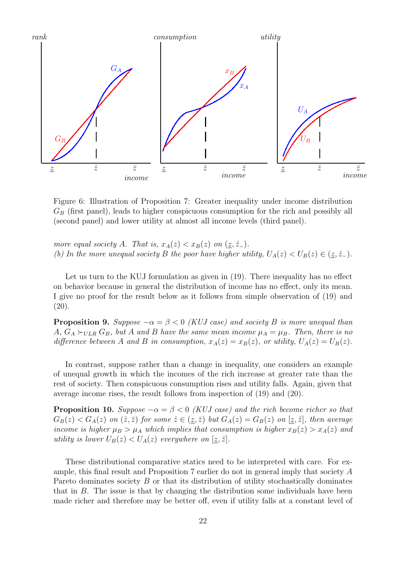![](_page_22_Figure_0.jpeg)

Figure 6: Illustration of Proposition 7: Greater inequality under income distribution  $G_B$  (first panel), leads to higher conspicuous consumption for the rich and possibly all (second panel) and lower utility at almost all income levels (third panel).

more equal society A. That is,  $x_A(z) < x_B(z)$  on  $(\underline{z}, \hat{z}_-)$ . (b) In the more unequal society B the poor have higher utility,  $U_A(z) < U_B(z) \in (\underline{z}, \hat{z}_-)$ .

Let us turn to the KUJ formulation as given in (19). There inequality has no effect on behavior because in general the distribution of income has no effect, only its mean. I give no proof for the result below as it follows from simple observation of (19) and  $(20).$ 

**Proposition 9.** Suppose  $-\alpha = \beta < 0$  (KUJ case) and society B is more unequal than A,  $G_A \succ_{ULAR} G_B$ , but A and B have the same mean income  $\mu_A = \mu_B$ . Then, there is no difference between A and B in consumption,  $x_A(z) = x_B(z)$ , or utility,  $U_A(z) = U_B(z)$ .

In contrast, suppose rather than a change in inequality, one considers an example of unequal growth in which the incomes of the rich increase at greater rate than the rest of society. Then conspicuous consumption rises and utility falls. Again, given that average income rises, the result follows from inspection of (19) and (20).

**Proposition 10.** Suppose  $-\alpha = \beta < 0$  (KUJ case) and the rich become richer so that  $G_B(z) < G_A(z)$  on  $(\hat{z}, \bar{z})$  for some  $\hat{z} \in (\underline{z}, \bar{z})$  but  $G_A(z) = G_B(z)$  on  $[\underline{z}, \hat{z}]$ , then average income is higher  $\mu_B > \mu_A$  which implies that consumption is higher  $x_B(z) > x_A(z)$  and utility is lower  $U_B(z) < U_A(z)$  everywhere on  $[\underline{z}, \overline{z}]$ .

These distributional comparative statics need to be interpreted with care. For example, this final result and Proposition 7 earlier do not in general imply that society A Pareto dominates society B or that its distribution of utility stochastically dominates that in  $B$ . The issue is that by changing the distribution some individuals have been made richer and therefore may be better off, even if utility falls at a constant level of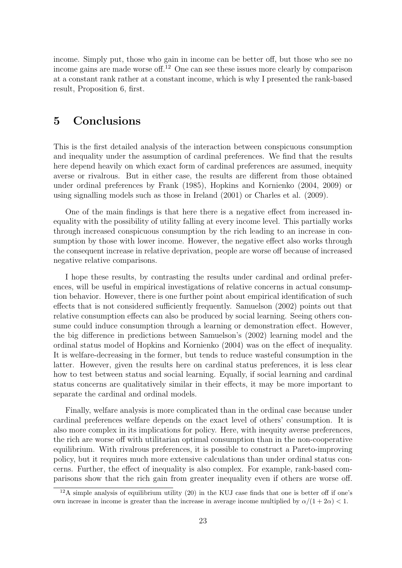income. Simply put, those who gain in income can be better off, but those who see no income gains are made worse of  $E^{12}$  One can see these issues more clearly by comparison at a constant rank rather at a constant income, which is why I presented the rank-based result, Proposition 6, first.

### 5 Conclusions

This is the first detailed analysis of the interaction between conspicuous consumption and inequality under the assumption of cardinal preferences. We find that the results here depend heavily on which exact form of cardinal preferences are assumed, inequity averse or rivalrous. But in either case, the results are different from those obtained under ordinal preferences by Frank (1985), Hopkins and Kornienko (2004, 2009) or using signalling models such as those in Ireland (2001) or Charles et al. (2009).

One of the main findings is that here there is a negative effect from increased inequality with the possibility of utility falling at every income level. This partially works through increased conspicuous consumption by the rich leading to an increase in consumption by those with lower income. However, the negative effect also works through the consequent increase in relative deprivation, people are worse off because of increased negative relative comparisons.

I hope these results, by contrasting the results under cardinal and ordinal preferences, will be useful in empirical investigations of relative concerns in actual consumption behavior. However, there is one further point about empirical identification of such effects that is not considered sufficiently frequently. Samuelson (2002) points out that relative consumption effects can also be produced by social learning. Seeing others consume could induce consumption through a learning or demonstration effect. However, the big difference in predictions between Samuelson's (2002) learning model and the ordinal status model of Hopkins and Kornienko (2004) was on the effect of inequality. It is welfare-decreasing in the former, but tends to reduce wasteful consumption in the latter. However, given the results here on cardinal status preferences, it is less clear how to test between status and social learning. Equally, if social learning and cardinal status concerns are qualitatively similar in their effects, it may be more important to separate the cardinal and ordinal models.

Finally, welfare analysis is more complicated than in the ordinal case because under cardinal preferences welfare depends on the exact level of others' consumption. It is also more complex in its implications for policy. Here, with inequity averse preferences, the rich are worse off with utilitarian optimal consumption than in the non-cooperative equilibrium. With rivalrous preferences, it is possible to construct a Pareto-improving policy, but it requires much more extensive calculations than under ordinal status concerns. Further, the effect of inequality is also complex. For example, rank-based comparisons show that the rich gain from greater inequality even if others are worse off.

 $12A$  simple analysis of equilibrium utility (20) in the KUJ case finds that one is better off if one's own increase in income is greater than the increase in average income multiplied by  $\alpha/(1+2\alpha) < 1$ .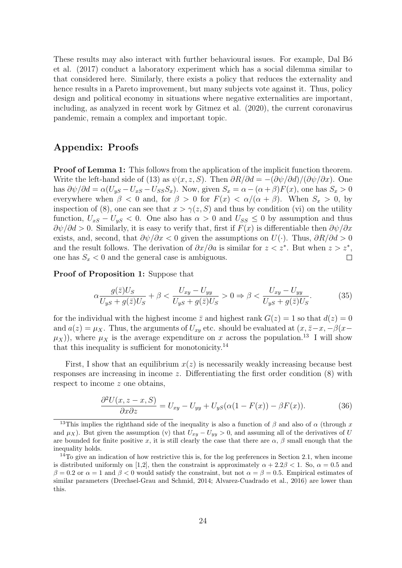These results may also interact with further behavioural issues. For example, Dal Bo et al. (2017) conduct a laboratory experiment which has a social dilemma similar to that considered here. Similarly, there exists a policy that reduces the externality and hence results in a Pareto improvement, but many subjects vote against it. Thus, policy design and political economy in situations where negative externalities are important, including, as analyzed in recent work by Gitmez et al. (2020), the current coronavirus pandemic, remain a complex and important topic.

#### Appendix: Proofs

**Proof of Lemma 1:** This follows from the application of the implicit function theorem. Write the left-hand side of (13) as  $\psi(x, z, S)$ . Then  $\frac{\partial R}{\partial d} = -\frac{\frac{\partial \psi}{\partial d}}{\frac{\partial \psi}{\partial x}}$ . One has  $\partial \psi / \partial d = \alpha (U_{yS} - U_{xS} - U_{SS}S_x)$ . Now, given  $S_x = \alpha - (\alpha + \beta)F(x)$ , one has  $S_x > 0$ everywhere when  $\beta < 0$  and, for  $\beta > 0$  for  $F(x) < \alpha/(\alpha + \beta)$ . When  $S_x > 0$ , by inspection of (8), one can see that  $x > \gamma(z, S)$  and thus by condition (vi) on the utility function,  $U_{xS} - U_{yS} < 0$ . One also has  $\alpha > 0$  and  $U_{SS} < 0$  by assumption and thus  $\partial \psi / \partial d > 0$ . Similarly, it is easy to verify that, first if  $F(x)$  is differentiable then  $\partial \psi / \partial x$ exists, and, second, that  $\partial \psi / \partial x < 0$  given the assumptions on  $U(\cdot)$ . Thus,  $\partial R / \partial d > 0$ and the result follows. The derivation of  $\partial x/\partial a$  is similar for  $z < z^*$ . But when  $z > z^*$ , one has  $S_x < 0$  and the general case is ambiguous.  $\Box$ 

Proof of Proposition 1: Suppose that

$$
\alpha \frac{g(\bar{z})U_S}{U_{yS} + g(\bar{z})U_S} + \beta < \frac{U_{xy} - U_{yy}}{U_{yS} + g(\bar{z})U_S} > 0 \Rightarrow \beta < \frac{U_{xy} - U_{yy}}{U_{yS} + g(\bar{z})U_S}.\tag{35}
$$

for the individual with the highest income  $\overline{z}$  and highest rank  $G(z) = 1$  so that  $d(z) = 0$ and  $a(z) = \mu_X$ . Thus, the arguments of  $U_{xy}$  etc. should be evaluated at  $(x, \bar{z}-x, -\beta(x-\bar{z}))$  $(\mu_X)$ , where  $\mu_X$  is the average expenditure on x across the population.<sup>13</sup> I will show that this inequality is sufficient for monotonicity.<sup>14</sup>

First, I show that an equilibrium  $x(z)$  is necessarily weakly increasing because best responses are increasing in income z. Differentiating the first order condition (8) with respect to income z one obtains,

$$
\frac{\partial^2 U(x, z - x, S)}{\partial x \partial z} = U_{xy} - U_{yy} + U_{yS}(\alpha (1 - F(x)) - \beta F(x)).\tag{36}
$$

<sup>&</sup>lt;sup>13</sup>This implies the righthand side of the inequality is also a function of  $\beta$  and also of  $\alpha$  (through x and  $\mu_X$ ). But given the assumption (v) that  $U_{xy} - U_{yy} > 0$ , and assuming all of the derivatives of U are bounded for finite positive x, it is still clearly the case that there are  $\alpha$ ,  $\beta$  small enough that the inequality holds.

 $14$ To give an indication of how restrictive this is, for the log preferences in Section 2.1, when income is distributed uniformly on [1,2], then the constraint is approximately  $\alpha + 2.2\beta < 1$ . So,  $\alpha = 0.5$  and  $\beta = 0.2$  or  $\alpha = 1$  and  $\beta < 0$  would satisfy the constraint, but not  $\alpha = \beta = 0.5$ . Empirical estimates of similar parameters (Drechsel-Grau and Schmid, 2014; Alvarez-Cuadrado et al., 2016) are lower than this.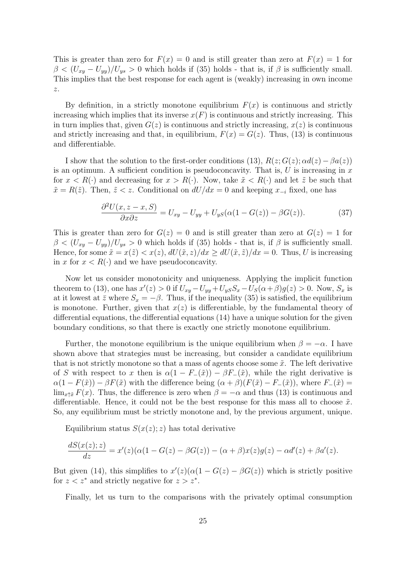This is greater than zero for  $F(x) = 0$  and is still greater than zero at  $F(x) = 1$  for  $\beta < (U_{xy} - U_{yy})/U_{ys} > 0$  which holds if (35) holds - that is, if  $\beta$  is sufficiently small. This implies that the best response for each agent is (weakly) increasing in own income  $\boldsymbol{z}.$ 

By definition, in a strictly monotone equilibrium  $F(x)$  is continuous and strictly increasing which implies that its inverse  $x(F)$  is continuous and strictly increasing. This in turn implies that, given  $G(z)$  is continuous and strictly increasing,  $x(z)$  is continuous and strictly increasing and that, in equilibrium,  $F(x) = G(z)$ . Thus, (13) is continuous and differentiable.

I show that the solution to the first-order conditions (13),  $R(z; G(z); \alpha d(z) - \beta a(z))$ is an optimum. A sufficient condition is pseudoconcavity. That is,  $U$  is increasing in  $x$ for  $x < R(\cdot)$  and decreasing for  $x > R(\cdot)$ . Now, take  $\tilde{x} < R(\cdot)$  and let  $\tilde{z}$  be such that  $\tilde{x} = R(\tilde{z})$ . Then,  $\tilde{z} < z$ . Conditional on  $dU/dx = 0$  and keeping  $x_{-i}$  fixed, one has

$$
\frac{\partial^2 U(x, z - x, S)}{\partial x \partial z} = U_{xy} - U_{yy} + U_{yS}(\alpha(1 - G(z)) - \beta G(z)).\tag{37}
$$

This is greater than zero for  $G(z) = 0$  and is still greater than zero at  $G(z) = 1$  for  $\beta < (U_{xy} - U_{yy})/U_{ys} > 0$  which holds if (35) holds - that is, if  $\beta$  is sufficiently small. Hence, for some  $\tilde{x} = x(\tilde{z}) < x(z)$ ,  $dU(\tilde{x}, z)/dx \ge dU(\tilde{x}, \tilde{z})/dx = 0$ . Thus, U is increasing in x for  $x < R(\cdot)$  and we have pseudoconcavity.

Now let us consider monotonicity and uniqueness. Applying the implicit function theorem to (13), one has  $x'(z) > 0$  if  $U_{xy} - U_{yy} + U_{yS}S_x - U_S(\alpha + \beta)g(z) > 0$ . Now,  $S_x$  is at it lowest at  $\bar{z}$  where  $S_x = -\beta$ . Thus, if the inequality (35) is satisfied, the equilibrium is monotone. Further, given that  $x(z)$  is differentiable, by the fundamental theory of differential equations, the differential equations (14) have a unique solution for the given boundary conditions, so that there is exactly one strictly monotone equilibrium.

Further, the monotone equilibrium is the unique equilibrium when  $\beta = -\alpha$ . I have shown above that strategies must be increasing, but consider a candidate equilibrium that is not strictly monotone so that a mass of agents choose some  $\tilde{x}$ . The left derivative of S with respect to x then is  $\alpha(1 - F_-(\tilde{x})) - \beta F_-(\tilde{x})$ , while the right derivative is  $\alpha(1 - F(\tilde{x})) - \beta F(\tilde{x})$  with the difference being  $(\alpha + \beta)(F(\tilde{x}) - F_-(\tilde{x}))$ , where  $F_-(\tilde{x}) =$  $\lim_{x \uparrow \tilde{x}} F(x)$ . Thus, the difference is zero when  $\beta = -\alpha$  and thus (13) is continuous and differentiable. Hence, it could not be the best response for this mass all to choose  $\tilde{x}$ . So, any equilibrium must be strictly monotone and, by the previous argument, unique.

Equilibrium status  $S(x(z); z)$  has total derivative

$$
\frac{dS(x(z);z)}{dz} = x'(z)(\alpha(1 - G(z) - \beta G(z)) - (\alpha + \beta)x(z)g(z) - \alpha d'(z) + \beta a'(z).
$$

But given (14), this simplifies to  $x'(z)(\alpha(1 - G(z) - \beta G(z))$  which is strictly positive for  $z < z^*$  and strictly negative for  $z > z^*$ .

Finally, let us turn to the comparisons with the privately optimal consumption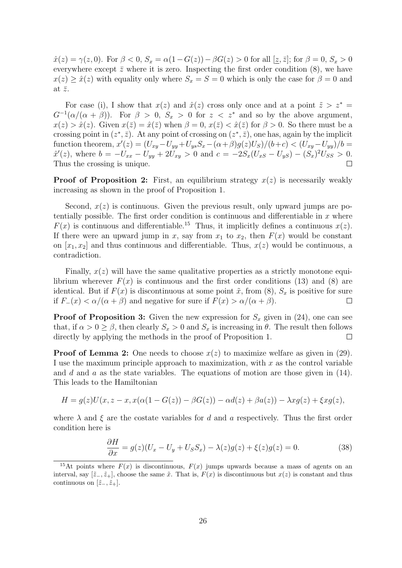$\hat{x}(z) = \gamma(z, 0)$ . For  $\beta < 0$ ,  $S_x = \alpha(1 - G(z)) - \beta G(z) > 0$  for all  $[\underline{z}, \overline{z}]$ ; for  $\beta = 0$ ,  $S_x > 0$ everywhere except  $\bar{z}$  where it is zero. Inspecting the first order condition (8), we have  $x(z) \geq \hat{x}(z)$  with equality only where  $S_x = S = 0$  which is only the case for  $\beta = 0$  and at  $\bar{z}$ .

For case (i), I show that  $x(z)$  and  $\hat{x}(z)$  cross only once and at a point  $\tilde{z} > z^* = z$  $G^{-1}(\alpha/(\alpha+\beta))$ . For  $\beta > 0$ ,  $S_x > 0$  for  $z < z^*$  and so by the above argument,  $x(z) > \hat{x}(z)$ . Given  $x(\bar{z}) = \hat{x}(\bar{z})$  when  $\beta = 0$ ,  $x(\bar{z}) < \hat{x}(\bar{z})$  for  $\beta > 0$ . So there must be a crossing point in  $(z^*, \bar{z})$ . At any point of crossing on  $(z^*, \bar{z})$ , one has, again by the implicit function theorem,  $x'(z) = (U_{xy} - U_{yy} + U_{ys}S_x - (\alpha + \beta)g(z)U_s)/(b+c) < (U_{xy} - U_{yy})/b =$  $\hat{x}'(z)$ , where  $b = -U_{xx} - U_{yy} + 2U_{xy} > 0$  and  $c = -2S_x(U_{xS} - U_{yS}) - (S_x)^2 U_{SS} > 0$ . Thus the crossing is unique.  $\Box$ 

**Proof of Proposition 2:** First, an equilibrium strategy  $x(z)$  is necessarily weakly increasing as shown in the proof of Proposition 1.

Second,  $x(z)$  is continuous. Given the previous result, only upward jumps are potentially possible. The first order condition is continuous and differentiable in  $x$  where  $F(x)$  is continuous and differentiable.<sup>15</sup> Thus, it implicitly defines a continuous  $x(z)$ . If there were an upward jump in x, say from  $x_1$  to  $x_2$ , then  $F(x)$  would be constant on  $[x_1, x_2]$  and thus continuous and differentiable. Thus,  $x(z)$  would be continuous, a contradiction.

Finally,  $x(z)$  will have the same qualitative properties as a strictly monotone equilibrium wherever  $F(x)$  is continuous and the first order conditions (13) and (8) are identical. But if  $F(x)$  is discontinuous at some point  $\tilde{x}$ , from (8),  $S_x$  is positive for sure if  $F_-(x) < \alpha/(\alpha + \beta)$  and negative for sure if  $F(x) > \alpha/(\alpha + \beta)$ .  $\Box$ 

**Proof of Proposition 3:** Given the new expression for  $S_x$  given in (24), one can see that, if  $\alpha > 0 \ge \beta$ , then clearly  $S_x > 0$  and  $S_x$  is increasing in  $\theta$ . The result then follows directly by applying the methods in the proof of Proposition 1.  $\Box$ 

**Proof of Lemma 2:** One needs to choose  $x(z)$  to maximize welfare as given in (29). I use the maximum principle approach to maximization, with  $x$  as the control variable and d and a as the state variables. The equations of motion are those given in  $(14)$ . This leads to the Hamiltonian

$$
H = g(z)U(x, z - x, x(\alpha(1 - G(z)) - \beta G(z)) - \alpha d(z) + \beta a(z)) - \lambda xg(z) + \xi xg(z),
$$

where  $\lambda$  and  $\xi$  are the costate variables for d and a respectively. Thus the first order condition here is

$$
\frac{\partial H}{\partial x} = g(z)(U_x - U_y + U_S S_x) - \lambda(z)g(z) + \xi(z)g(z) = 0.
$$
\n(38)

<sup>&</sup>lt;sup>15</sup>At points where  $F(x)$  is discontinuous,  $F(x)$  jumps upwards because a mass of agents on an interval, say  $[\tilde{z}_-, \tilde{z}_+]$ , choose the same  $\tilde{x}$ . That is,  $F(x)$  is discontinuous but  $x(z)$  is constant and thus continuous on  $[\tilde{z}_-, \tilde{z}_+]$ .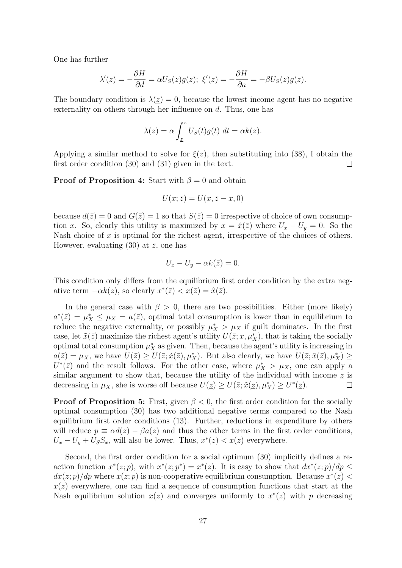One has further

$$
\lambda'(z) = -\frac{\partial H}{\partial d} = \alpha U_S(z)g(z); \ \xi'(z) = -\frac{\partial H}{\partial a} = -\beta U_S(z)g(z).
$$

The boundary condition is  $\lambda(z) = 0$ , because the lowest income agent has no negative externality on others through her influence on d. Thus, one has

$$
\lambda(z) = \alpha \int_{\underline{z}}^{z} U_{S}(t)g(t) dt = \alpha k(z).
$$

Applying a similar method to solve for  $\xi(z)$ , then substituting into (38), I obtain the first order condition (30) and (31) given in the text.  $\Box$ 

**Proof of Proposition 4:** Start with  $\beta = 0$  and obtain

$$
U(x; \bar{z}) = U(x, \bar{z} - x, 0)
$$

because  $d(\bar{z}) = 0$  and  $G(\bar{z}) = 1$  so that  $S(\bar{z}) = 0$  irrespective of choice of own consumption x. So, clearly this utility is maximized by  $x = \hat{x}(\bar{z})$  where  $U_x - U_y = 0$ . So the Nash choice of  $x$  is optimal for the richest agent, irrespective of the choices of others. However, evaluating (30) at  $\bar{z}$ , one has

$$
U_x - U_y - \alpha k(\bar{z}) = 0.
$$

This condition only differs from the equilibrium first order condition by the extra negative term  $-\alpha k(z)$ , so clearly  $x^*(\bar{z}) < x(\bar{z}) = \hat{x}(\bar{z})$ .

In the general case with  $\beta > 0$ , there are two possibilities. Either (more likely)  $a^*(\bar{z}) = \mu_X^* \leq \mu_X = a(\bar{z})$ , optimal total consumption is lower than in equilibrium to reduce the negative externality, or possibly  $\mu_X^* > \mu_X$  if guilt dominates. In the first case, let  $\tilde{x}(\bar{z})$  maximize the richest agent's utility  $U(\bar{z}; x, \mu^*_{X})$ , that is taking the socially optimal total consumption  $\mu_X^*$  as given. Then, because the agent's utility is increasing in  $a(\bar{z}) = \mu_X$ , we have  $U(\bar{z}) \ge U(\bar{z}; \tilde{x}(\bar{z}), \mu_X^*)$ . But also clearly, we have  $U(\bar{z}; \tilde{x}(\bar{z}), \mu_X^*) \ge$  $U^*(\bar{z})$  and the result follows. For the other case, where  $\mu_X^* > \mu_X$ , one can apply a similar argument to show that, because the utility of the individual with income  $z$  is decreasing in  $\mu_X$ , she is worse off because  $U(\underline{z}) \geq U(\overline{z}; \tilde{x}(\underline{z}), \mu_X^*) \geq U^*(\underline{z})$ .  $\Box$ 

**Proof of Proposition 5:** First, given  $\beta < 0$ , the first order condition for the socially optimal consumption (30) has two additional negative terms compared to the Nash equilibrium first order conditions (13). Further, reductions in expenditure by others will reduce  $p \equiv \alpha d(z) - \beta a(z)$  and thus the other terms in the first order conditions,  $U_x - U_y + U_S S_x$ , will also be lower. Thus,  $x^*(z) < x(z)$  everywhere.

Second, the first order condition for a social optimum (30) implicitly defines a reaction function  $x^*(z; p)$ , with  $x^*(z; p^*) = x^*(z)$ . It is easy to show that  $dx^*(z; p)/dp \le$  $dx(z; p)/dp$  where  $x(z; p)$  is non-cooperative equilibrium consumption. Because  $x^*(z)$  $x(z)$  everywhere, one can find a sequence of consumption functions that start at the Nash equilibrium solution  $x(z)$  and converges uniformly to  $x^*(z)$  with p decreasing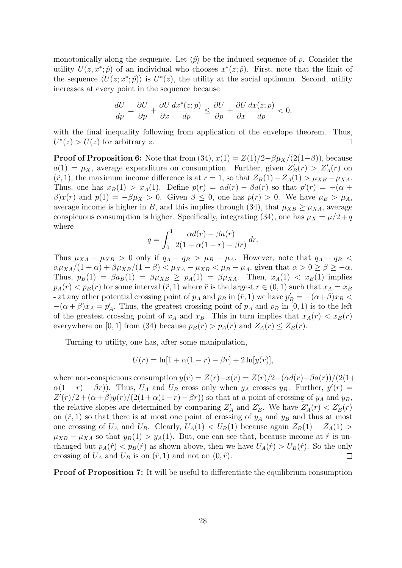monotonically along the sequence. Let  $\langle \hat{p} \rangle$  be the induced sequence of p. Consider the utility  $U(z, x^*; \hat{p})$  of an individual who chooses  $x^*(z; \hat{p})$ . First, note that the limit of the sequence  $\langle U(z; x^*; \hat{p}) \rangle$  is  $U^*(z)$ , the utility at the social optimum. Second, utility increases at every point in the sequence because

$$
\frac{dU}{dp} = \frac{\partial U}{\partial p} + \frac{\partial U}{\partial x}\frac{dx^*(z;p)}{dp} \le \frac{\partial U}{\partial p} + \frac{\partial U}{\partial x}\frac{dx(z;p)}{dp} < 0,
$$

with the final inequality following from application of the envelope theorem. Thus,  $U^*(z) > U(z)$  for arbitrary z.  $\Box$ 

**Proof of Proposition 6:** Note that from (34),  $x(1) = Z(1)/2 - \beta \mu_X/(2(1-\beta))$ , because  $a(1) = \mu_X$ , average expenditure on consumption. Further, given  $Z'_B(r) > Z'_A(r)$  on  $(\hat{r}, 1)$ , the maximum income difference is at  $r = 1$ , so that  $Z_B(1) - Z_A(1) > \mu_{XB} - \mu_{XA}$ . Thus, one has  $x_B(1) > x_A(1)$ . Define  $p(r) = \alpha d(r) - \beta a(r)$  so that  $p'(r) = -(\alpha + \beta)$  $\beta$ )x(r) and  $p(1) = -\beta\mu_X > 0$ . Given  $\beta \leq 0$ , one has  $p(r) > 0$ . We have  $\mu_B > \mu_A$ , average income is higher in B, and this implies through (34), that  $\mu_{XB} \geq \mu_{XA}$ , average conspicuous consumption is higher. Specifically, integrating (34), one has  $\mu_X = \mu/2 + q$ where

$$
q = \int_0^1 \frac{\alpha d(r) - \beta a(r)}{2(1 + \alpha(1 - r) - \beta r)} dr.
$$

Thus  $\mu_{XA} - \mu_{XB} > 0$  only if  $q_A - q_B > \mu_B - \mu_A$ . However, note that  $q_A - q_B <$  $\alpha\mu_{XA}/(1+\alpha) + \beta\mu_{XB}/(1-\beta) < \mu_{XA} - \mu_{XB} < \mu_B - \mu_A$ , given that  $\alpha > 0 \ge \beta \ge -\alpha$ . Thus,  $p_B(1) = \beta a_B(1) = \beta \mu_{XB} \ge p_A(1) = \beta \mu_{XA}$ . Then,  $x_A(1) < x_B(1)$  implies  $p_A(r) < p_B(r)$  for some interval  $(\tilde{r}, 1)$  where  $\tilde{r}$  is the largest  $r \in (0, 1)$  such that  $x_A = x_B$ - at any other potential crossing point of  $p_A$  and  $p_B$  in  $(\tilde{r}, 1)$  we have  $p'_B = -(\alpha + \beta)x_B$  $-(\alpha+\beta)x_A = p'_A$ . Thus, the greatest crossing point of  $p_A$  and  $p_B$  in [0, 1) is to the left of the greatest crossing point of  $x_A$  and  $x_B$ . This in turn implies that  $x_A(r) < x_B(r)$ everywhere on [0, 1] from (34) because  $p_B(r) > p_A(r)$  and  $Z_A(r) \leq Z_B(r)$ .

Turning to utility, one has, after some manipulation,

$$
U(r) = \ln[1 + \alpha(1 - r) - \beta r] + 2\ln[y(r)],
$$

where non-conspicuous consumption  $y(r) = Z(r) - x(r) = Z(r)/2 - (\alpha d(r) - \beta a(r))/(2(1+\alpha d))$  $\alpha(1-r) - \beta r$ ). Thus,  $U_A$  and  $U_B$  cross only when  $y_A$  crosses  $y_B$ . Further,  $y'(r) =$  $Z'(r)/2 + (\alpha + \beta)y(r)/(2(1 + \alpha(1-r) - \beta r))$  so that at a point of crossing of  $y_A$  and  $y_B$ , the relative slopes are determined by comparing  $Z'_A$  and  $Z'_B$ . We have  $Z'_A(r) < Z'_B(r)$ on  $(\hat{r}, 1)$  so that there is at most one point of crossing of  $y_A$  and  $y_B$  and thus at most one crossing of  $U_A$  and  $U_B$ . Clearly,  $U_A(1) < U_B(1)$  because again  $Z_B(1) - Z_A(1) >$  $\mu_{XB} - \mu_{XA}$  so that  $y_B(1) > y_A(1)$ . But, one can see that, because income at  $\hat{r}$  is unchanged but  $p_A(\hat{r}) < p_B(\hat{r})$  as shown above, then we have  $U_A(\hat{r}) > U_B(\hat{r})$ . So the only crossing of  $U_A$  and  $U_B$  is on  $(\hat{r}, 1)$  and not on  $(0, \hat{r})$ .  $\Box$ 

**Proof of Proposition 7:** It will be useful to differentiate the equilibrium consumption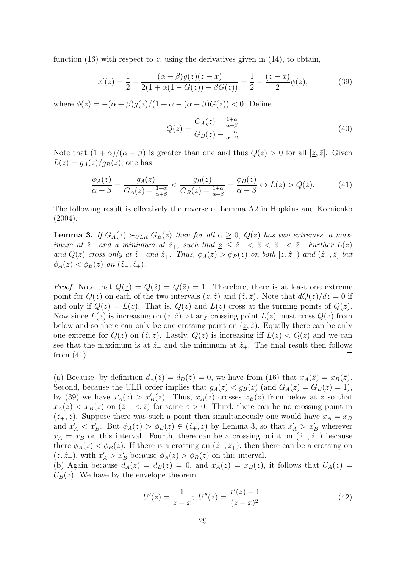function (16) with respect to z, using the derivatives given in (14), to obtain,

$$
x'(z) = \frac{1}{2} - \frac{(\alpha + \beta)g(z)(z - x)}{2(1 + \alpha(1 - G(z)) - \beta G(z))} = \frac{1}{2} + \frac{(z - x)}{2}\phi(z),\tag{39}
$$

where  $\phi(z) = -(\alpha + \beta)q(z)/(1 + \alpha - (\alpha + \beta)G(z)) < 0$ . Define

$$
Q(z) = \frac{G_A(z) - \frac{1+\alpha}{\alpha+\beta}}{G_B(z) - \frac{1+\alpha}{\alpha+\beta}}
$$
(40)

Note that  $(1 + \alpha)/(\alpha + \beta)$  is greater than one and thus  $Q(z) > 0$  for all  $[z, \overline{z}]$ . Given  $L(z) = g_A(z)/g_B(z)$ , one has

$$
\frac{\phi_A(z)}{\alpha+\beta} = \frac{g_A(z)}{G_A(z) - \frac{1+\alpha}{\alpha+\beta}} < \frac{g_B(z)}{G_B(z) - \frac{1+\alpha}{\alpha+\beta}} = \frac{\phi_B(z)}{\alpha+\beta} \Leftrightarrow L(z) > Q(z). \tag{41}
$$

The following result is effectively the reverse of Lemma A2 in Hopkins and Kornienko  $(2004).$ 

**Lemma 3.** If  $G_A(z) \succ_{ULR} G_B(z)$  then for all  $\alpha \geq 0$ ,  $Q(z)$  has two extremes, a maximum at  $\hat{z}_-$  and a minimum at  $\hat{z}_+$ , such that  $z \leq \hat{z}_- \leq \hat{z} \leq \hat{z}_+ \leq \bar{z}$ . Further  $L(z)$ and  $Q(z)$  cross only at  $\hat{z}_-$  and  $\hat{z}_+$ . Thus,  $\phi_A(z) > \phi_B(z)$  on both  $[\underline{z}, \hat{z}_-]$  and  $(\hat{z}_+, \overline{z}]$  but  $\phi_A(z) < \phi_B(z)$  on  $(\hat{z}_-, \hat{z}_+).$ 

*Proof.* Note that  $Q(\underline{z}) = Q(\overline{z}) = Q(\overline{z}) = 1$ . Therefore, there is at least one extreme point for  $Q(z)$  on each of the two intervals  $(z, \hat{z})$  and  $(\hat{z}, \overline{z})$ . Note that  $dQ(z)/dz = 0$  if and only if  $Q(z) = L(z)$ . That is,  $Q(z)$  and  $L(z)$  cross at the turning points of  $Q(z)$ . Now since  $L(z)$  is increasing on  $(z, \hat{z})$ , at any crossing point  $L(z)$  must cross  $Q(z)$  from below and so there can only be one crossing point on  $(z, \hat{z})$ . Equally there can be only one extreme for  $Q(z)$  on  $(\hat{z}, \hat{z})$ . Lastly,  $Q(z)$  is increasing iff  $L(z) < Q(z)$  and we can see that the maximum is at  $\hat{z}_-$  and the minimum at  $\hat{z}_+$ . The final result then follows from (41).  $\mathbf{L}$ 

(a) Because, by definition  $d_A(\overline{z}) = d_B(\overline{z}) = 0$ , we have from (16) that  $x_A(\overline{z}) = x_B(\overline{z})$ . Second, because the ULR order implies that  $g_A(\bar{z}) < g_B(\bar{z})$  (and  $G_A(\bar{z}) = G_B(\bar{z}) = 1$ ), by (39) we have  $x'_A(\bar{z}) > x'_B(\bar{z})$ . Thus,  $x_A(z)$  crosses  $x_B(z)$  from below at  $\bar{z}$  so that  $x_A(z) < x_B(z)$  on  $(\bar{z} - \varepsilon, \bar{z})$  for some  $\varepsilon > 0$ . Third, there can be no crossing point in  $(\hat{z}_+, \bar{z})$ . Suppose there was such a point then simultaneously one would have  $x_A = x_B$ and  $x'_A < x'_B$ . But  $\phi_A(z) > \phi_B(z) \in (\hat{z}_+, \bar{z})$  by Lemma 3, so that  $x'_A > x'_B$  wherever  $x_A = x_B$  on this interval. Fourth, there can be a crossing point on  $(\hat{z}_-, \hat{z}_+)$  because there  $\phi_A(z) < \phi_B(z)$ . If there is a crossing on  $(\hat{z}_-, \hat{z}_+)$ , then there can be a crossing on  $(\underline{z}, \hat{z}_-)$ , with  $x'_A > x'_B$  because  $\phi_A(z) > \phi_B(z)$  on this interval.

(b) Again because  $d_A(\overline{z}) = d_B(\overline{z}) = 0$ , and  $x_A(\overline{z}) = x_B(\overline{z})$ , it follows that  $U_A(\overline{z}) =$  $U_B(\bar{z})$ . We have by the envelope theorem

$$
U'(z) = \frac{1}{z - x}; \ U''(z) = \frac{x'(z) - 1}{(z - x)^2}.
$$
 (42)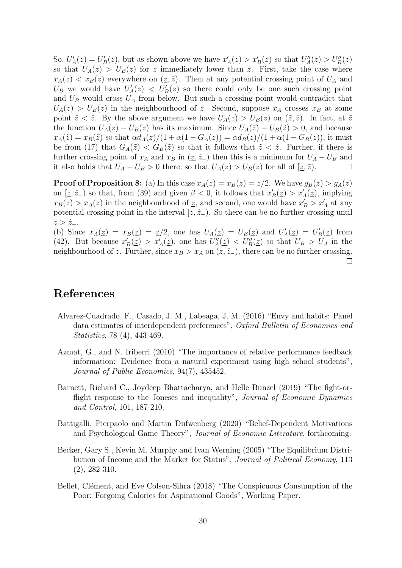So,  $U'_A(\bar{z}) = U'_B(\bar{z})$ , but as shown above we have  $x'_A(\bar{z}) > x'_B(\bar{z})$  so that  $U''_A(\bar{z}) > U''_B(\bar{z})$ so that  $U_A(z) > U_B(z)$  for z immediately lower than  $\overline{z}$ . First, take the case where  $x_A(z) < x_B(z)$  everywhere on  $(z, \bar{z})$ . Then at any potential crossing point of  $U_A$  and  $U_B$  we would have  $U'_A(z) < U'_B(z)$  so there could only be one such crossing point and  $U_B$  would cross  $U_A$  from below. But such a crossing point would contradict that  $U_A(z) > U_B(z)$  in the neighbourhood of  $\overline{z}$ . Second, suppose  $x_A$  crosses  $x_B$  at some point  $\tilde{z} < \hat{z}$ . By the above argument we have  $U_A(z) > U_B(z)$  on  $(\tilde{z}, \bar{z})$ . In fact, at  $\tilde{z}$ the function  $U_A(z) - U_B(z)$  has its maximum. Since  $U_A(\tilde{z}) - U_B(\tilde{z}) > 0$ , and because  $x_A(\tilde{z}) = x_B(\tilde{z})$  so that  $\alpha d_A(z)/(1 + \alpha(1 - G_A(z))) = \alpha d_B(z)/(1 + \alpha(1 - G_B(z)))$ , it must be from (17) that  $G_A(\tilde{z}) < G_B(\tilde{z})$  so that it follows that  $\tilde{z} < \hat{z}$ . Further, if there is further crossing point of  $x_A$  and  $x_B$  in (z,  $\hat{z}_-$ ) then this is a minimum for  $U_A - U_B$  and it also holds that  $U_A - U_B > 0$  there, so that  $U_A(z) > U_B(z)$  for all of  $[\underline{z}, \overline{z})$ .  $\Box$ 

**Proof of Proposition 8:** (a) In this case  $x_A(\underline{z}) = x_B(\underline{z}) = \underline{z}/2$ . We have  $g_B(z) > g_A(z)$ on  $[\underline{z}, \hat{z}_-)$  so that, from (39) and given  $\beta < 0$ , it follows that  $x'_B(\underline{z}) > x'_A(\underline{z})$ , implying  $x_B(z) > x_A(z)$  in the neighbourhood of z, and second, one would have  $x'_B > x'_A$  at any potential crossing point in the interval  $[z, \hat{z}_-)$ . So there can be no further crossing until  $z > \hat{z}_-.$ 

(b) Since  $x_A(z) = x_B(z) = z/2$ , one has  $U_A(z) = U_B(z)$  and  $U'_A(z) = U'_B(z)$  from (42). But because  $x'_B(\underline{z}) > x'_A(\underline{z})$ , one has  $U''_A(\underline{z}) < U''_B(\underline{z})$  so that  $U_B > U_A$  in the neighbourhood of z. Further, since  $x_B > x_A$  on  $(z, \hat{z}_-)$ , there can be no further crossing.  $\Box$ 

### References

- Alvarez-Cuadrado, F., Casado, J. M., Labeaga, J. M. (2016) "Envy and habits: Panel data estimates of interdependent preferences", Oxford Bulletin of Economics and Statistics, 78 (4), 443-469.
- Azmat, G., and N. Iriberri (2010) "The importance of relative performance feedback information: Evidence from a natural experiment using high school students", Journal of Public Economics, 94(7), 435452.
- Barnett, Richard C., Joydeep Bhattacharya, and Helle Bunzel (2019) "The fight-orflight response to the Joneses and inequality", Journal of Economic Dynamics and Control, 101, 187-210.
- Battigalli, Pierpaolo and Martin Dufwenberg (2020) "Belief-Dependent Motivations and Psychological Game Theory", Journal of Economic Literature, forthcoming.
- Becker, Gary S., Kevin M. Murphy and Ivan Werning (2005) "The Equilibrium Distribution of Income and the Market for Status", Journal of Political Economy, 113 (2), 282-310.
- Bellet, Clément, and Eve Colson-Sihra (2018) "The Conspicuous Consumption of the Poor: Forgoing Calories for Aspirational Goods", Working Paper.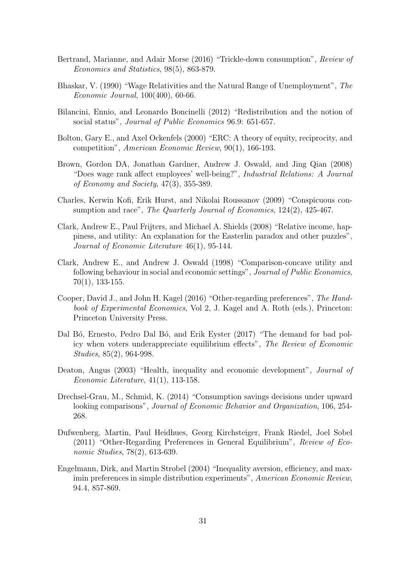- Bertrand, Marianne, and Adair Morse (2016) "Trickle-down consumption", Review of Economics and Statistics, 98(5), 863-879.
- Bhaskar, V. (1990) "Wage Relativities and the Natural Range of Unemployment", The Economic Journal, 100(400), 60-66.
- Bilancini, Ennio, and Leonardo Boncinelli (2012) "Redistribution and the notion of social status", Journal of Public Economics 96.9: 651-657.
- Bolton, Gary E., and Axel Ockenfels (2000) "ERC: A theory of equity, reciprocity, and competition", American Economic Review, 90(1), 166-193.
- Brown, Gordon DA, Jonathan Gardner, Andrew J. Oswald, and Jing Qian (2008) "Does wage rank affect employees' well-being?", Industrial Relations: A Journal of Economy and Society, 47(3), 355-389.
- Charles, Kerwin Kofi, Erik Hurst, and Nikolai Roussanov (2009) "Conspicuous consumption and race", *The Quarterly Journal of Economics*, 124(2), 425-467.
- Clark, Andrew E., Paul Frijters, and Michael A. Shields (2008) "Relative income, happiness, and utility: An explanation for the Easterlin paradox and other puzzles", Journal of Economic Literature 46(1), 95-144.
- Clark, Andrew E., and Andrew J. Oswald (1998) "Comparison-concave utility and following behaviour in social and economic settings", Journal of Public Economics, 70(1), 133-155.
- Cooper, David J., and John H. Kagel (2016) "Other-regarding preferences", The Handbook of Experimental Economics, Vol 2, J. Kagel and A. Roth (eds.), Princeton: Princeton University Press.
- Dal Bó, Ernesto, Pedro Dal Bó, and Erik Eyster (2017) "The demand for bad policy when voters underappreciate equilibrium effects", The Review of Economic Studies, 85(2), 964-998.
- Deaton, Angus (2003) "Health, inequality and economic development", Journal of Economic Literature, 41(1), 113-158.
- Drechsel-Grau, M., Schmid, K. (2014) "Consumption savings decisions under upward looking comparisons", Journal of Economic Behavior and Organization, 106, 254-268.
- Dufwenberg, Martin, Paul Heidhues, Georg Kirchsteiger, Frank Riedel, Joel Sobel (2011) "Other-Regarding Preferences in General Equilibrium", Review of Economic Studies, 78(2), 613-639.
- Engelmann, Dirk, and Martin Strobel (2004) "Inequality aversion, efficiency, and maximin preferences in simple distribution experiments", American Economic Review, 94.4, 857-869.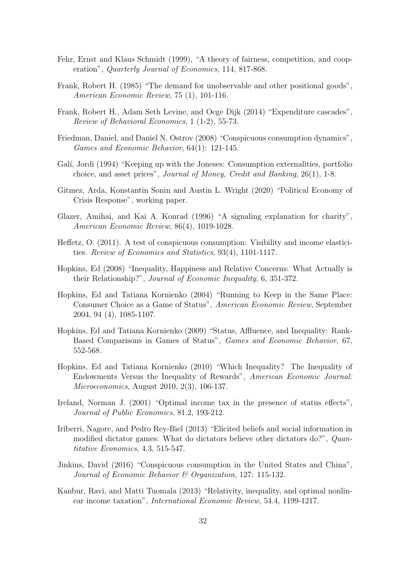- Fehr, Ernst and Klaus Schmidt (1999), "A theory of fairness, competition, and cooperation", Quarterly Journal of Economics, 114, 817-868.
- Frank, Robert H. (1985) "The demand for unobservable and other positional goods", American Economic Review, 75 (1), 101-116.
- Frank, Robert H., Adam Seth Levine, and Oege Dijk (2014) "Expenditure cascades", Review of Behavioral Economics, 1 (1-2), 55-73.
- Friedman, Daniel, and Daniel N. Ostrov (2008) "Conspicuous consumption dynamics", Games and Economic Behavior, 64(1): 121-145.
- Galí, Jordi (1994) "Keeping up with the Joneses: Consumption externalities, portfolio choice, and asset prices", Journal of Money, Credit and Banking, 26(1), 1-8.
- Gitmez, Arda, Konstantin Sonin and Austin L. Wright (2020) "Political Economy of Crisis Response", working paper.
- Glazer, Amihai, and Kai A. Konrad (1996) "A signaling explanation for charity", American Economic Review, 86(4), 1019-1028.
- Heffetz, O. (2011). A test of conspicuous consumption: Visibility and income elasticities. Review of Economics and Statistics, 93(4), 1101-1117.
- Hopkins, Ed (2008) "Inequality, Happiness and Relative Concerns: What Actually is their Relationship?", Journal of Economic Inequality, 6, 351-372.
- Hopkins, Ed and Tatiana Kornienko (2004) "Running to Keep in the Same Place: Consumer Choice as a Game of Status", American Economic Review, September 2004, 94 (4), 1085-1107.
- Hopkins, Ed and Tatiana Kornienko (2009) "Status, Affluence, and Inequality: Rank-Based Comparisons in Games of Status", Games and Economic Behavior, 67, 552-568.
- Hopkins, Ed and Tatiana Kornienko (2010) "Which Inequality? The Inequality of Endowments Versus the Inequality of Rewards", American Economic Journal: Microeconomics, August 2010, 2(3), 106-137.
- Ireland, Norman J. (2001) "Optimal income tax in the presence of status effects", Journal of Public Economics, 81.2, 193-212.
- Iriberri, Nagore, and Pedro Rey-Biel (2013) "Elicited beliefs and social information in modified dictator games: What do dictators believe other dictators do?", Quantitative Economics, 4.3, 515-547.
- Jinkins, David (2016) "Conspicuous consumption in the United States and China", Journal of Economic Behavior & Organization, 127: 115-132.
- Kanbur, Ravi, and Matti Tuomala (2013) "Relativity, inequality, and optimal nonlinear income taxation", International Economic Review, 54.4, 1199-1217.